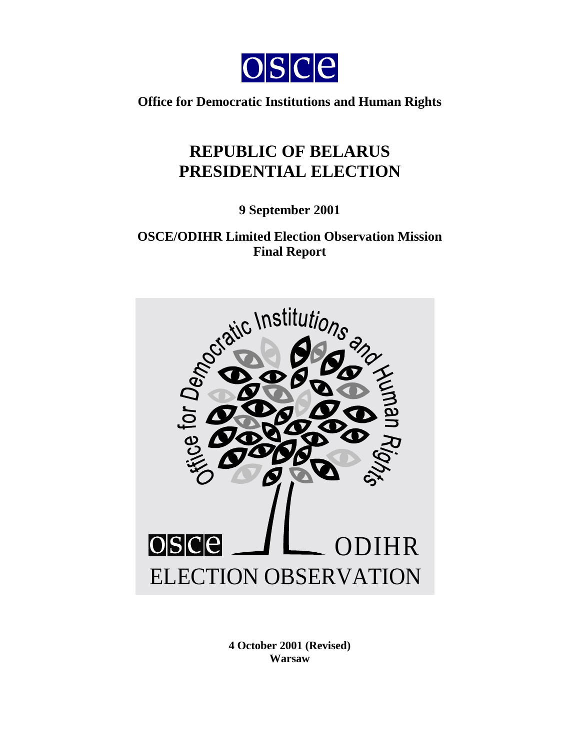

**Office for Democratic Institutions and Human Rights** 

# **REPUBLIC OF BELARUS PRESIDENTIAL ELECTION**

**9 September 2001** 

**OSCE/ODIHR Limited Election Observation Mission Final Report** 



**4 October 2001 (Revised) Warsaw**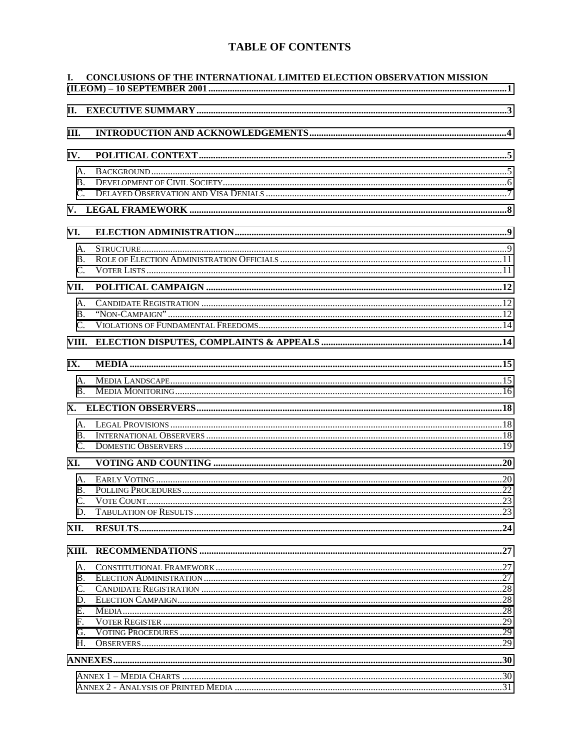# **TABLE OF CONTENTS**

| L.                                                  | CONCLUSIONS OF THE INTERNATIONAL LIMITED ELECTION OBSERVATION MISSION |  |
|-----------------------------------------------------|-----------------------------------------------------------------------|--|
| II.                                                 |                                                                       |  |
| Ш.                                                  |                                                                       |  |
| IV.                                                 |                                                                       |  |
| A.<br><b>B.</b><br>$C_{\cdot}$                      |                                                                       |  |
|                                                     |                                                                       |  |
| VI.                                                 |                                                                       |  |
| A.<br>B.<br>$C_{\cdot}$                             |                                                                       |  |
| VII.                                                |                                                                       |  |
| A.<br><b>B.</b><br>$C_{\cdot}$                      |                                                                       |  |
| VIII.                                               |                                                                       |  |
| IX.                                                 |                                                                       |  |
| A.<br>B.                                            |                                                                       |  |
|                                                     |                                                                       |  |
| A.<br><b>B.</b><br>C.                               |                                                                       |  |
| XI.                                                 |                                                                       |  |
| A.<br><b>B.</b><br>$\mathbf{C}$ .<br>D.             |                                                                       |  |
| XII.                                                |                                                                       |  |
| XIII.                                               |                                                                       |  |
| A.<br><b>B.</b><br>C.<br>D.<br>E.<br>F.<br>G.<br>H. |                                                                       |  |
|                                                     |                                                                       |  |
|                                                     |                                                                       |  |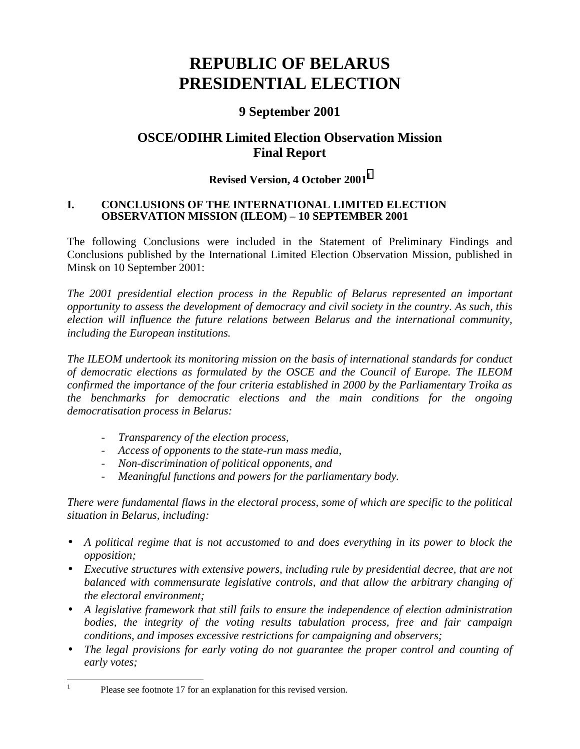# <span id="page-2-0"></span>**REPUBLIC OF BELARUS PRESIDENTIAL ELECTION**

# **9 September 2001**

# **OSCE/ODIHR Limited Election Observation Mission Final Report**

# **Revised Version, 4 October 20011**

#### **I. CONCLUSIONS OF THE INTERNATIONAL LIMITED ELECTION OBSERVATION MISSION (ILEOM) – 10 SEPTEMBER 2001**

The following Conclusions were included in the Statement of Preliminary Findings and Conclusions published by the International Limited Election Observation Mission, published in Minsk on 10 September 2001:

*The 2001 presidential election process in the Republic of Belarus represented an important opportunity to assess the development of democracy and civil society in the country. As such, this election will influence the future relations between Belarus and the international community, including the European institutions.* 

*The ILEOM undertook its monitoring mission on the basis of international standards for conduct of democratic elections as formulated by the OSCE and the Council of Europe. The ILEOM confirmed the importance of the four criteria established in 2000 by the Parliamentary Troika as the benchmarks for democratic elections and the main conditions for the ongoing democratisation process in Belarus:* 

- *Transparency of the election process,*
- *Access of opponents to the state-run mass media,*
- *Non-discrimination of political opponents, and*
- *Meaningful functions and powers for the parliamentary body.*

*There were fundamental flaws in the electoral process, some of which are specific to the political situation in Belarus, including:* 

- *A political regime that is not accustomed to and does everything in its power to block the opposition;*
- *Executive structures with extensive powers, including rule by presidential decree, that are not balanced with commensurate legislative controls, and that allow the arbitrary changing of the electoral environment;*
- *A legislative framework that still fails to ensure the independence of election administration bodies, the integrity of the voting results tabulation process, free and fair campaign conditions, and imposes excessive restrictions for campaigning and observers;*
- *The legal provisions for early voting do not guarantee the proper control and counting of early votes;*

 $\frac{1}{1}$ 

Please see footnote 17 for an explanation for this revised version.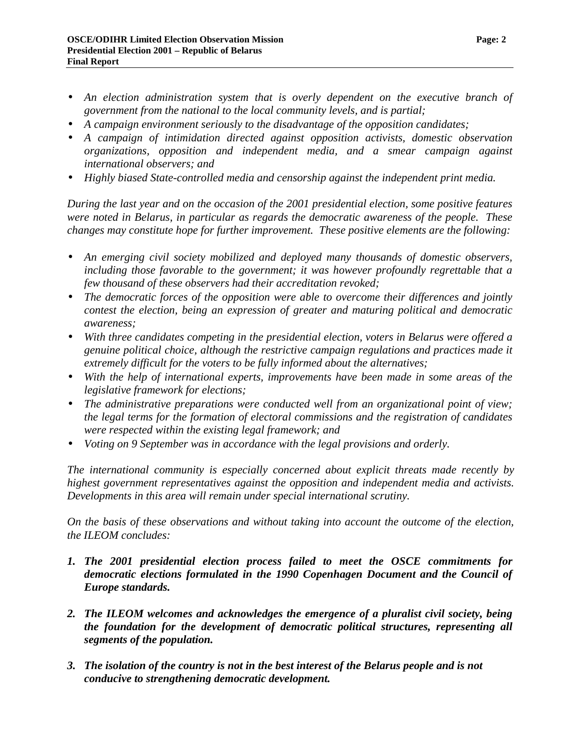- An election administration system that is overly dependent on the executive branch of *government from the national to the local community levels, and is partial;*
- *A campaign environment seriously to the disadvantage of the opposition candidates;*
- *A campaign of intimidation directed against opposition activists, domestic observation organizations, opposition and independent media, and a smear campaign against international observers; and*
- *Highly biased State-controlled media and censorship against the independent print media.*

*During the last year and on the occasion of the 2001 presidential election, some positive features were noted in Belarus, in particular as regards the democratic awareness of the people. These changes may constitute hope for further improvement. These positive elements are the following:* 

- *An emerging civil society mobilized and deployed many thousands of domestic observers, including those favorable to the government; it was however profoundly regrettable that a few thousand of these observers had their accreditation revoked;*
- *The democratic forces of the opposition were able to overcome their differences and jointly contest the election, being an expression of greater and maturing political and democratic awareness;*
- *With three candidates competing in the presidential election, voters in Belarus were offered a genuine political choice, although the restrictive campaign regulations and practices made it extremely difficult for the voters to be fully informed about the alternatives;*
- *With the help of international experts, improvements have been made in some areas of the legislative framework for elections;*
- *The administrative preparations were conducted well from an organizational point of view; the legal terms for the formation of electoral commissions and the registration of candidates were respected within the existing legal framework; and*
- *Voting on 9 September was in accordance with the legal provisions and orderly.*

*The international community is especially concerned about explicit threats made recently by highest government representatives against the opposition and independent media and activists. Developments in this area will remain under special international scrutiny.* 

*On the basis of these observations and without taking into account the outcome of the election, the ILEOM concludes:* 

- *1. The 2001 presidential election process failed to meet the OSCE commitments for democratic elections formulated in the 1990 Copenhagen Document and the Council of Europe standards.*
- *2. The ILEOM welcomes and acknowledges the emergence of a pluralist civil society, being the foundation for the development of democratic political structures, representing all segments of the population.*
- *3. The isolation of the country is not in the best interest of the Belarus people and is not conducive to strengthening democratic development.*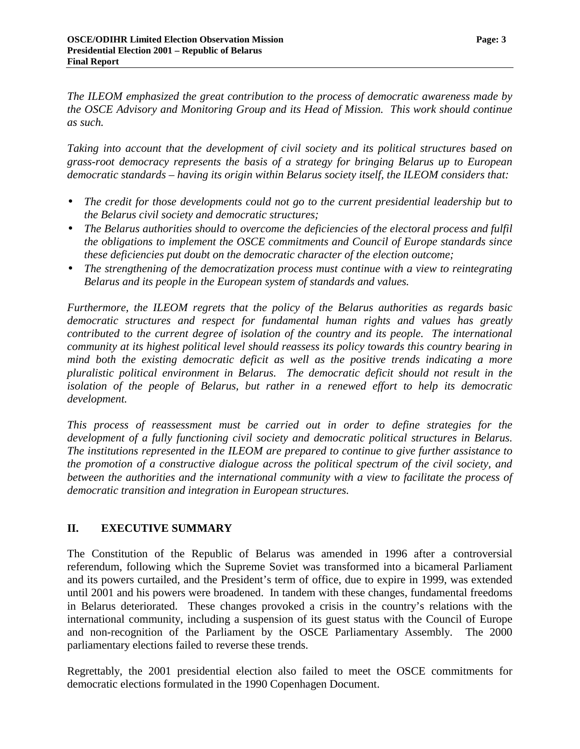<span id="page-4-0"></span>*The ILEOM emphasized the great contribution to the process of democratic awareness made by the OSCE Advisory and Monitoring Group and its Head of Mission. This work should continue as such.* 

*Taking into account that the development of civil society and its political structures based on grass-root democracy represents the basis of a strategy for bringing Belarus up to European democratic standards – having its origin within Belarus society itself, the ILEOM considers that:* 

- *The credit for those developments could not go to the current presidential leadership but to the Belarus civil society and democratic structures;*
- *The Belarus authorities should to overcome the deficiencies of the electoral process and fulfil the obligations to implement the OSCE commitments and Council of Europe standards since these deficiencies put doubt on the democratic character of the election outcome;*
- *The strengthening of the democratization process must continue with a view to reintegrating Belarus and its people in the European system of standards and values.*

*Furthermore, the ILEOM regrets that the policy of the Belarus authorities as regards basic democratic structures and respect for fundamental human rights and values has greatly contributed to the current degree of isolation of the country and its people. The international community at its highest political level should reassess its policy towards this country bearing in mind both the existing democratic deficit as well as the positive trends indicating a more pluralistic political environment in Belarus. The democratic deficit should not result in the isolation of the people of Belarus, but rather in a renewed effort to help its democratic development.* 

*This process of reassessment must be carried out in order to define strategies for the development of a fully functioning civil society and democratic political structures in Belarus. The institutions represented in the ILEOM are prepared to continue to give further assistance to the promotion of a constructive dialogue across the political spectrum of the civil society, and between the authorities and the international community with a view to facilitate the process of democratic transition and integration in European structures.* 

# **II. EXECUTIVE SUMMARY**

The Constitution of the Republic of Belarus was amended in 1996 after a controversial referendum, following which the Supreme Soviet was transformed into a bicameral Parliament and its powers curtailed, and the President's term of office, due to expire in 1999, was extended until 2001 and his powers were broadened. In tandem with these changes, fundamental freedoms in Belarus deteriorated. These changes provoked a crisis in the country's relations with the international community, including a suspension of its guest status with the Council of Europe and non-recognition of the Parliament by the OSCE Parliamentary Assembly. The 2000 parliamentary elections failed to reverse these trends.

Regrettably, the 2001 presidential election also failed to meet the OSCE commitments for democratic elections formulated in the 1990 Copenhagen Document.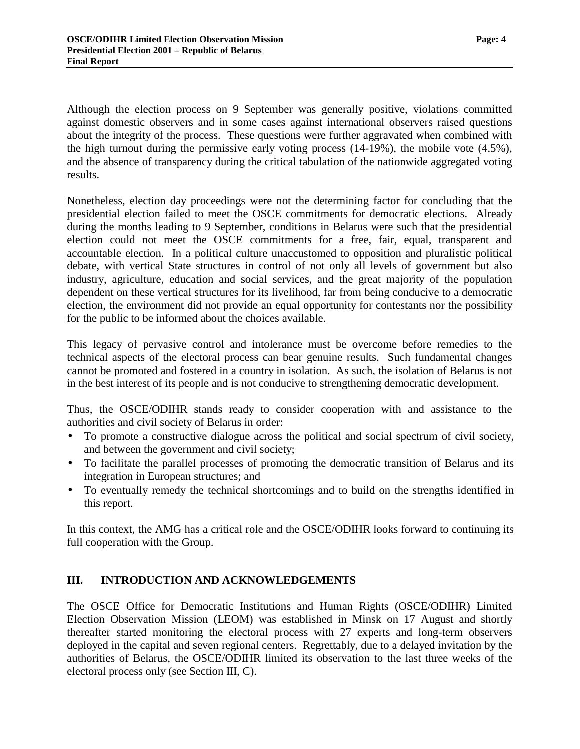<span id="page-5-0"></span>Although the election process on 9 September was generally positive, violations committed against domestic observers and in some cases against international observers raised questions about the integrity of the process. These questions were further aggravated when combined with the high turnout during the permissive early voting process (14-19%), the mobile vote (4.5%), and the absence of transparency during the critical tabulation of the nationwide aggregated voting results.

Nonetheless, election day proceedings were not the determining factor for concluding that the presidential election failed to meet the OSCE commitments for democratic elections. Already during the months leading to 9 September, conditions in Belarus were such that the presidential election could not meet the OSCE commitments for a free, fair, equal, transparent and accountable election. In a political culture unaccustomed to opposition and pluralistic political debate, with vertical State structures in control of not only all levels of government but also industry, agriculture, education and social services, and the great majority of the population dependent on these vertical structures for its livelihood, far from being conducive to a democratic election, the environment did not provide an equal opportunity for contestants nor the possibility for the public to be informed about the choices available.

This legacy of pervasive control and intolerance must be overcome before remedies to the technical aspects of the electoral process can bear genuine results. Such fundamental changes cannot be promoted and fostered in a country in isolation. As such, the isolation of Belarus is not in the best interest of its people and is not conducive to strengthening democratic development.

Thus, the OSCE/ODIHR stands ready to consider cooperation with and assistance to the authorities and civil society of Belarus in order:

- To promote a constructive dialogue across the political and social spectrum of civil society, and between the government and civil society;
- To facilitate the parallel processes of promoting the democratic transition of Belarus and its integration in European structures; and
- To eventually remedy the technical shortcomings and to build on the strengths identified in this report.

In this context, the AMG has a critical role and the OSCE/ODIHR looks forward to continuing its full cooperation with the Group.

#### **III. INTRODUCTION AND ACKNOWLEDGEMENTS**

The OSCE Office for Democratic Institutions and Human Rights (OSCE/ODIHR) Limited Election Observation Mission (LEOM) was established in Minsk on 17 August and shortly thereafter started monitoring the electoral process with 27 experts and long-term observers deployed in the capital and seven regional centers. Regrettably, due to a delayed invitation by the authorities of Belarus, the OSCE/ODIHR limited its observation to the last three weeks of the electoral process only (see Section III, C).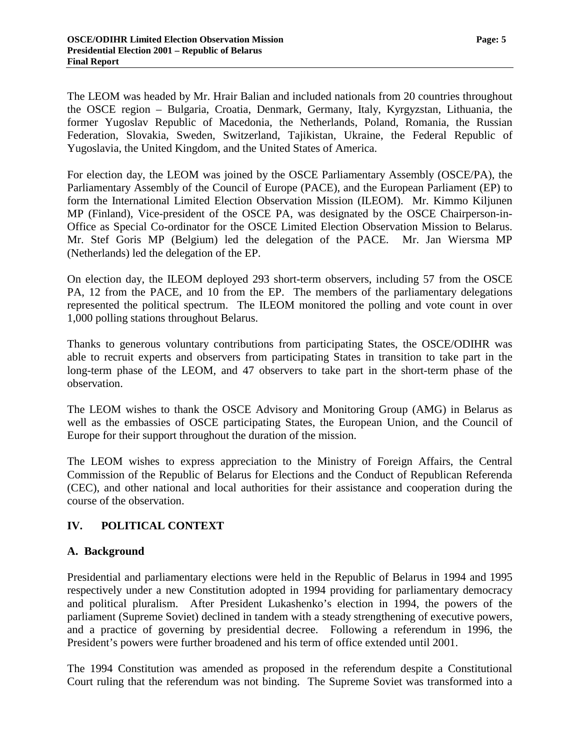<span id="page-6-0"></span>The LEOM was headed by Mr. Hrair Balian and included nationals from 20 countries throughout the OSCE region – Bulgaria, Croatia, Denmark, Germany, Italy, Kyrgyzstan, Lithuania, the former Yugoslav Republic of Macedonia, the Netherlands, Poland, Romania, the Russian Federation, Slovakia, Sweden, Switzerland, Tajikistan, Ukraine, the Federal Republic of Yugoslavia, the United Kingdom, and the United States of America.

For election day, the LEOM was joined by the OSCE Parliamentary Assembly (OSCE/PA), the Parliamentary Assembly of the Council of Europe (PACE), and the European Parliament (EP) to form the International Limited Election Observation Mission (ILEOM). Mr. Kimmo Kiljunen MP (Finland), Vice-president of the OSCE PA, was designated by the OSCE Chairperson-in-Office as Special Co-ordinator for the OSCE Limited Election Observation Mission to Belarus. Mr. Stef Goris MP (Belgium) led the delegation of the PACE. Mr. Jan Wiersma MP (Netherlands) led the delegation of the EP.

On election day, the ILEOM deployed 293 short-term observers, including 57 from the OSCE PA, 12 from the PACE, and 10 from the EP. The members of the parliamentary delegations represented the political spectrum. The ILEOM monitored the polling and vote count in over 1,000 polling stations throughout Belarus.

Thanks to generous voluntary contributions from participating States, the OSCE/ODIHR was able to recruit experts and observers from participating States in transition to take part in the long-term phase of the LEOM, and 47 observers to take part in the short-term phase of the observation.

The LEOM wishes to thank the OSCE Advisory and Monitoring Group (AMG) in Belarus as well as the embassies of OSCE participating States, the European Union, and the Council of Europe for their support throughout the duration of the mission.

The LEOM wishes to express appreciation to the Ministry of Foreign Affairs, the Central Commission of the Republic of Belarus for Elections and the Conduct of Republican Referenda (CEC), and other national and local authorities for their assistance and cooperation during the course of the observation.

# **IV. POLITICAL CONTEXT**

#### **A. Background**

Presidential and parliamentary elections were held in the Republic of Belarus in 1994 and 1995 respectively under a new Constitution adopted in 1994 providing for parliamentary democracy and political pluralism. After President Lukashenko's election in 1994, the powers of the parliament (Supreme Soviet) declined in tandem with a steady strengthening of executive powers, and a practice of governing by presidential decree. Following a referendum in 1996, the President's powers were further broadened and his term of office extended until 2001.

The 1994 Constitution was amended as proposed in the referendum despite a Constitutional Court ruling that the referendum was not binding. The Supreme Soviet was transformed into a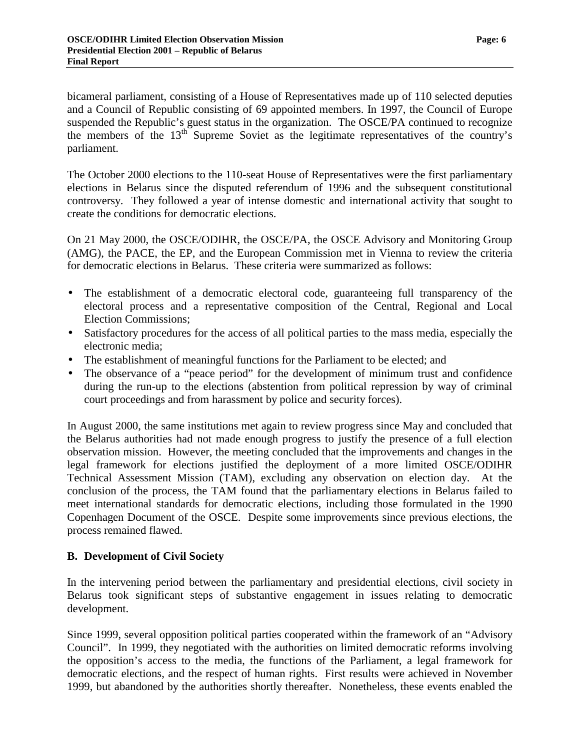<span id="page-7-0"></span>bicameral parliament, consisting of a House of Representatives made up of 110 selected deputies and a Council of Republic consisting of 69 appointed members. In 1997, the Council of Europe suspended the Republic's guest status in the organization. The OSCE/PA continued to recognize the members of the  $13<sup>th</sup>$  Supreme Soviet as the legitimate representatives of the country's parliament.

The October 2000 elections to the 110-seat House of Representatives were the first parliamentary elections in Belarus since the disputed referendum of 1996 and the subsequent constitutional controversy. They followed a year of intense domestic and international activity that sought to create the conditions for democratic elections.

On 21 May 2000, the OSCE/ODIHR, the OSCE/PA, the OSCE Advisory and Monitoring Group (AMG), the PACE, the EP, and the European Commission met in Vienna to review the criteria for democratic elections in Belarus. These criteria were summarized as follows:

- The establishment of a democratic electoral code, guaranteeing full transparency of the electoral process and a representative composition of the Central, Regional and Local Election Commissions;
- Satisfactory procedures for the access of all political parties to the mass media, especially the electronic media;
- The establishment of meaningful functions for the Parliament to be elected; and
- The observance of a "peace period" for the development of minimum trust and confidence during the run-up to the elections (abstention from political repression by way of criminal court proceedings and from harassment by police and security forces).

In August 2000, the same institutions met again to review progress since May and concluded that the Belarus authorities had not made enough progress to justify the presence of a full election observation mission. However, the meeting concluded that the improvements and changes in the legal framework for elections justified the deployment of a more limited OSCE/ODIHR Technical Assessment Mission (TAM), excluding any observation on election day. At the conclusion of the process, the TAM found that the parliamentary elections in Belarus failed to meet international standards for democratic elections, including those formulated in the 1990 Copenhagen Document of the OSCE. Despite some improvements since previous elections, the process remained flawed.

#### **B. Development of Civil Society**

In the intervening period between the parliamentary and presidential elections, civil society in Belarus took significant steps of substantive engagement in issues relating to democratic development.

Since 1999, several opposition political parties cooperated within the framework of an "Advisory Council". In 1999, they negotiated with the authorities on limited democratic reforms involving the opposition's access to the media, the functions of the Parliament, a legal framework for democratic elections, and the respect of human rights. First results were achieved in November 1999, but abandoned by the authorities shortly thereafter. Nonetheless, these events enabled the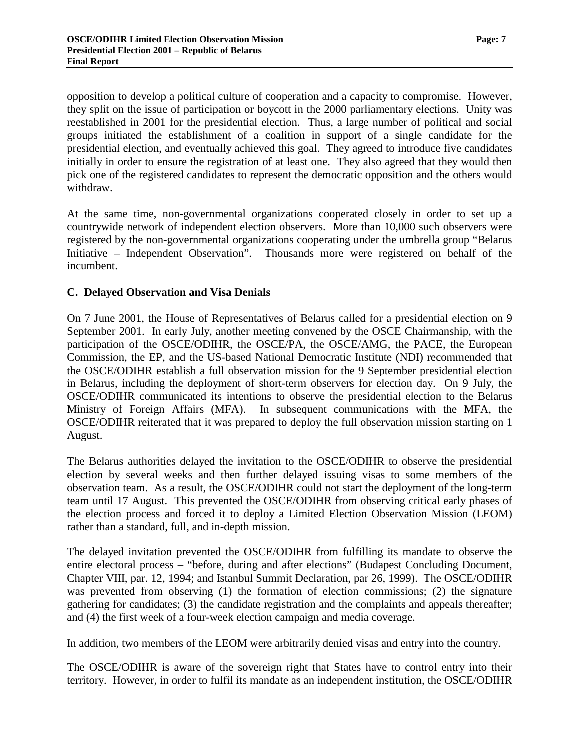<span id="page-8-0"></span>opposition to develop a political culture of cooperation and a capacity to compromise. However, they split on the issue of participation or boycott in the 2000 parliamentary elections. Unity was reestablished in 2001 for the presidential election. Thus, a large number of political and social groups initiated the establishment of a coalition in support of a single candidate for the presidential election, and eventually achieved this goal. They agreed to introduce five candidates initially in order to ensure the registration of at least one. They also agreed that they would then pick one of the registered candidates to represent the democratic opposition and the others would withdraw.

At the same time, non-governmental organizations cooperated closely in order to set up a countrywide network of independent election observers. More than 10,000 such observers were registered by the non-governmental organizations cooperating under the umbrella group "Belarus Initiative – Independent Observation". Thousands more were registered on behalf of the incumbent.

#### **C. Delayed Observation and Visa Denials**

On 7 June 2001, the House of Representatives of Belarus called for a presidential election on 9 September 2001. In early July, another meeting convened by the OSCE Chairmanship, with the participation of the OSCE/ODIHR, the OSCE/PA, the OSCE/AMG, the PACE, the European Commission, the EP, and the US-based National Democratic Institute (NDI) recommended that the OSCE/ODIHR establish a full observation mission for the 9 September presidential election in Belarus, including the deployment of short-term observers for election day. On 9 July, the OSCE/ODIHR communicated its intentions to observe the presidential election to the Belarus Ministry of Foreign Affairs (MFA). In subsequent communications with the MFA, the OSCE/ODIHR reiterated that it was prepared to deploy the full observation mission starting on 1 August.

The Belarus authorities delayed the invitation to the OSCE/ODIHR to observe the presidential election by several weeks and then further delayed issuing visas to some members of the observation team. As a result, the OSCE/ODIHR could not start the deployment of the long-term team until 17 August. This prevented the OSCE/ODIHR from observing critical early phases of the election process and forced it to deploy a Limited Election Observation Mission (LEOM) rather than a standard, full, and in-depth mission.

The delayed invitation prevented the OSCE/ODIHR from fulfilling its mandate to observe the entire electoral process – "before, during and after elections" (Budapest Concluding Document, Chapter VIII, par. 12, 1994; and Istanbul Summit Declaration, par 26, 1999). The OSCE/ODIHR was prevented from observing (1) the formation of election commissions; (2) the signature gathering for candidates; (3) the candidate registration and the complaints and appeals thereafter; and (4) the first week of a four-week election campaign and media coverage.

In addition, two members of the LEOM were arbitrarily denied visas and entry into the country.

The OSCE/ODIHR is aware of the sovereign right that States have to control entry into their territory. However, in order to fulfil its mandate as an independent institution, the OSCE/ODIHR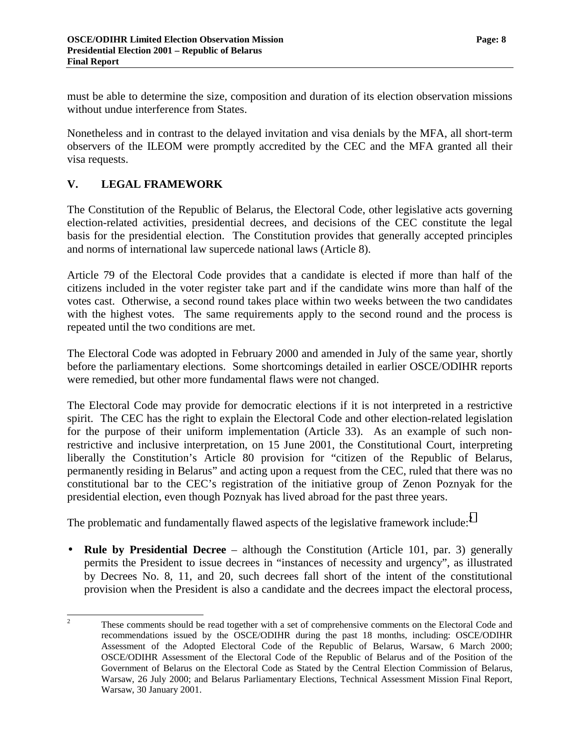<span id="page-9-0"></span>must be able to determine the size, composition and duration of its election observation missions without undue interference from States.

Nonetheless and in contrast to the delayed invitation and visa denials by the MFA, all short-term observers of the ILEOM were promptly accredited by the CEC and the MFA granted all their visa requests.

# **V. LEGAL FRAMEWORK**

The Constitution of the Republic of Belarus, the Electoral Code, other legislative acts governing election-related activities, presidential decrees, and decisions of the CEC constitute the legal basis for the presidential election. The Constitution provides that generally accepted principles and norms of international law supercede national laws (Article 8).

Article 79 of the Electoral Code provides that a candidate is elected if more than half of the citizens included in the voter register take part and if the candidate wins more than half of the votes cast. Otherwise, a second round takes place within two weeks between the two candidates with the highest votes. The same requirements apply to the second round and the process is repeated until the two conditions are met.

The Electoral Code was adopted in February 2000 and amended in July of the same year, shortly before the parliamentary elections. Some shortcomings detailed in earlier OSCE/ODIHR reports were remedied, but other more fundamental flaws were not changed.

The Electoral Code may provide for democratic elections if it is not interpreted in a restrictive spirit. The CEC has the right to explain the Electoral Code and other election-related legislation for the purpose of their uniform implementation (Article 33). As an example of such nonrestrictive and inclusive interpretation, on 15 June 2001, the Constitutional Court, interpreting liberally the Constitution's Article 80 provision for "citizen of the Republic of Belarus, permanently residing in Belarus" and acting upon a request from the CEC, ruled that there was no constitutional bar to the CEC's registration of the initiative group of Zenon Poznyak for the presidential election, even though Poznyak has lived abroad for the past three years.

The problematic and fundamentally flawed aspects of the legislative framework include:<sup>2</sup>

• **Rule by Presidential Decree** – although the Constitution (Article 101, par. 3) generally permits the President to issue decrees in "instances of necessity and urgency", as illustrated by Decrees No. 8, 11, and 20, such decrees fall short of the intent of the constitutional provision when the President is also a candidate and the decrees impact the electoral process,

 $\frac{1}{2}$  These comments should be read together with a set of comprehensive comments on the Electoral Code and recommendations issued by the OSCE/ODIHR during the past 18 months, including: OSCE/ODIHR Assessment of the Adopted Electoral Code of the Republic of Belarus, Warsaw, 6 March 2000; OSCE/ODIHR Assessment of the Electoral Code of the Republic of Belarus and of the Position of the Government of Belarus on the Electoral Code as Stated by the Central Election Commission of Belarus, Warsaw, 26 July 2000; and Belarus Parliamentary Elections, Technical Assessment Mission Final Report, Warsaw, 30 January 2001.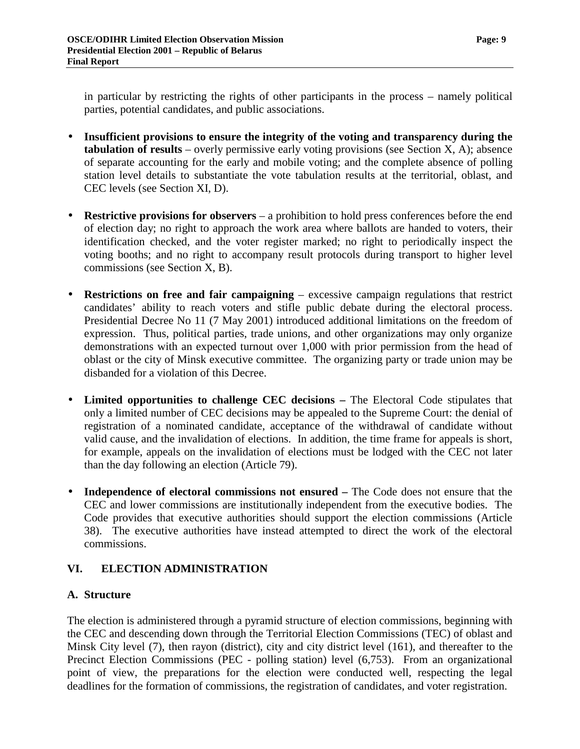<span id="page-10-0"></span>in particular by restricting the rights of other participants in the process – namely political parties, potential candidates, and public associations.

- **Insufficient provisions to ensure the integrity of the voting and transparency during the tabulation of results** – overly permissive early voting provisions (see Section X, A); absence of separate accounting for the early and mobile voting; and the complete absence of polling station level details to substantiate the vote tabulation results at the territorial, oblast, and CEC levels (see Section XI, D).
- **Restrictive provisions for observers** a prohibition to hold press conferences before the end of election day; no right to approach the work area where ballots are handed to voters, their identification checked, and the voter register marked; no right to periodically inspect the voting booths; and no right to accompany result protocols during transport to higher level commissions (see Section X, B).
- **Restrictions on free and fair campaigning**  excessive campaign regulations that restrict candidates' ability to reach voters and stifle public debate during the electoral process. Presidential Decree No 11 (7 May 2001) introduced additional limitations on the freedom of expression. Thus, political parties, trade unions, and other organizations may only organize demonstrations with an expected turnout over 1,000 with prior permission from the head of oblast or the city of Minsk executive committee. The organizing party or trade union may be disbanded for a violation of this Decree.
- Limited opportunities to challenge CEC decisions The Electoral Code stipulates that only a limited number of CEC decisions may be appealed to the Supreme Court: the denial of registration of a nominated candidate, acceptance of the withdrawal of candidate without valid cause, and the invalidation of elections. In addition, the time frame for appeals is short, for example, appeals on the invalidation of elections must be lodged with the CEC not later than the day following an election (Article 79).
- **Independence of electoral commissions not ensured –** The Code does not ensure that the CEC and lower commissions are institutionally independent from the executive bodies. The Code provides that executive authorities should support the election commissions (Article 38). The executive authorities have instead attempted to direct the work of the electoral commissions.

# **VI. ELECTION ADMINISTRATION**

# **A. Structure**

The election is administered through a pyramid structure of election commissions, beginning with the CEC and descending down through the Territorial Election Commissions (TEC) of oblast and Minsk City level (7), then rayon (district), city and city district level (161), and thereafter to the Precinct Election Commissions (PEC - polling station) level (6,753). From an organizational point of view, the preparations for the election were conducted well, respecting the legal deadlines for the formation of commissions, the registration of candidates, and voter registration.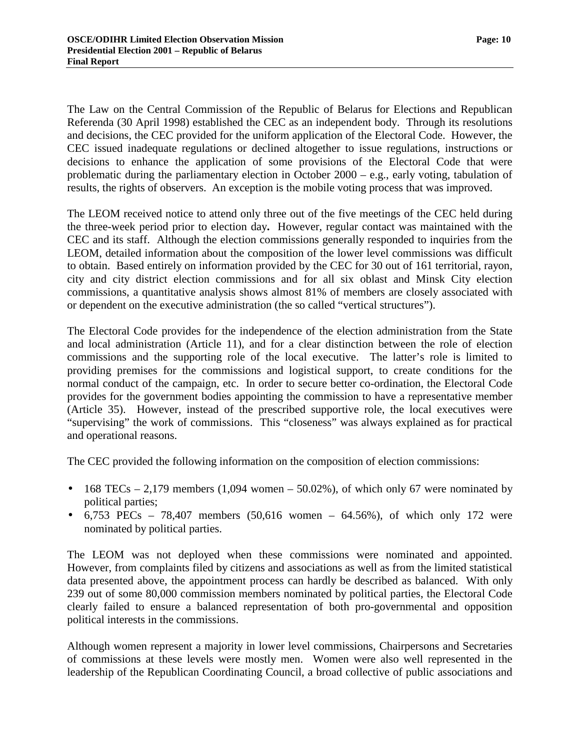The Law on the Central Commission of the Republic of Belarus for Elections and Republican Referenda (30 April 1998) established the CEC as an independent body. Through its resolutions and decisions, the CEC provided for the uniform application of the Electoral Code. However, the CEC issued inadequate regulations or declined altogether to issue regulations, instructions or decisions to enhance the application of some provisions of the Electoral Code that were problematic during the parliamentary election in October 2000 – e.g., early voting, tabulation of results, the rights of observers. An exception is the mobile voting process that was improved.

The LEOM received notice to attend only three out of the five meetings of the CEC held during the three-week period prior to election day**.** However, regular contact was maintained with the CEC and its staff. Although the election commissions generally responded to inquiries from the LEOM, detailed information about the composition of the lower level commissions was difficult to obtain. Based entirely on information provided by the CEC for 30 out of 161 territorial, rayon, city and city district election commissions and for all six oblast and Minsk City election commissions, a quantitative analysis shows almost 81% of members are closely associated with or dependent on the executive administration (the so called "vertical structures").

The Electoral Code provides for the independence of the election administration from the State and local administration (Article 11), and for a clear distinction between the role of election commissions and the supporting role of the local executive. The latter's role is limited to providing premises for the commissions and logistical support, to create conditions for the normal conduct of the campaign, etc. In order to secure better co-ordination, the Electoral Code provides for the government bodies appointing the commission to have a representative member (Article 35). However, instead of the prescribed supportive role, the local executives were "supervising" the work of commissions. This "closeness" was always explained as for practical and operational reasons.

The CEC provided the following information on the composition of election commissions:

- 168 TECs 2,179 members (1,094 women 50.02%), of which only 67 were nominated by political parties;
- 6,753 PECs 78,407 members (50,616 women 64.56%), of which only 172 were nominated by political parties.

The LEOM was not deployed when these commissions were nominated and appointed. However, from complaints filed by citizens and associations as well as from the limited statistical data presented above, the appointment process can hardly be described as balanced. With only 239 out of some 80,000 commission members nominated by political parties, the Electoral Code clearly failed to ensure a balanced representation of both pro-governmental and opposition political interests in the commissions.

Although women represent a majority in lower level commissions, Chairpersons and Secretaries of commissions at these levels were mostly men. Women were also well represented in the leadership of the Republican Coordinating Council, a broad collective of public associations and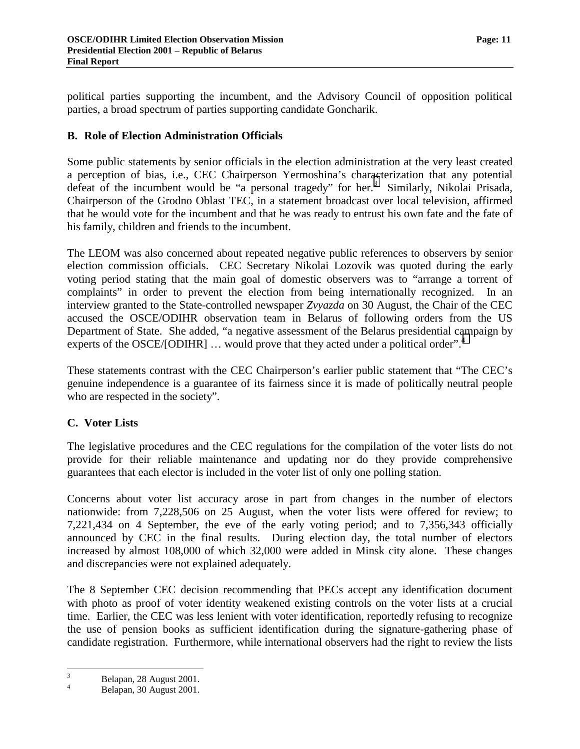<span id="page-12-0"></span>political parties supporting the incumbent, and the Advisory Council of opposition political parties, a broad spectrum of parties supporting candidate Goncharik.

### **B. Role of Election Administration Officials**

Some public statements by senior officials in the election administration at the very least created a perception of bias, i.e., CEC Chairperson Yermoshina's characterization that any potential defeat of the incumbent would be "a personal tragedy" for her.<sup>3</sup> Similarly, Nikolai Prisada, Chairperson of the Grodno Oblast TEC, in a statement broadcast over local television, affirmed that he would vote for the incumbent and that he was ready to entrust his own fate and the fate of his family, children and friends to the incumbent.

The LEOM was also concerned about repeated negative public references to observers by senior election commission officials. CEC Secretary Nikolai Lozovik was quoted during the early voting period stating that the main goal of domestic observers was to "arrange a torrent of complaints" in order to prevent the election from being internationally recognized. In an interview granted to the State-controlled newspaper *Zvyazda* on 30 August, the Chair of the CEC accused the OSCE/ODIHR observation team in Belarus of following orders from the US Department of State. She added, "a negative assessment of the Belarus presidential campaign by experts of the OSCE/[ODIHR] ... would prove that they acted under a political order".<sup>4</sup>

These statements contrast with the CEC Chairperson's earlier public statement that "The CEC's genuine independence is a guarantee of its fairness since it is made of politically neutral people who are respected in the society".

#### **C. Voter Lists**

The legislative procedures and the CEC regulations for the compilation of the voter lists do not provide for their reliable maintenance and updating nor do they provide comprehensive guarantees that each elector is included in the voter list of only one polling station.

Concerns about voter list accuracy arose in part from changes in the number of electors nationwide: from 7,228,506 on 25 August, when the voter lists were offered for review; to 7,221,434 on 4 September, the eve of the early voting period; and to 7,356,343 officially announced by CEC in the final results. During election day, the total number of electors increased by almost 108,000 of which 32,000 were added in Minsk city alone. These changes and discrepancies were not explained adequately.

The 8 September CEC decision recommending that PECs accept any identification document with photo as proof of voter identity weakened existing controls on the voter lists at a crucial time. Earlier, the CEC was less lenient with voter identification, reportedly refusing to recognize the use of pension books as sufficient identification during the signature-gathering phase of candidate registration. Furthermore, while international observers had the right to review the lists

<sup>&</sup>lt;sup>2</sup><br>3  $B$ elapan, 28 August 2001.

Belapan, 30 August 2001.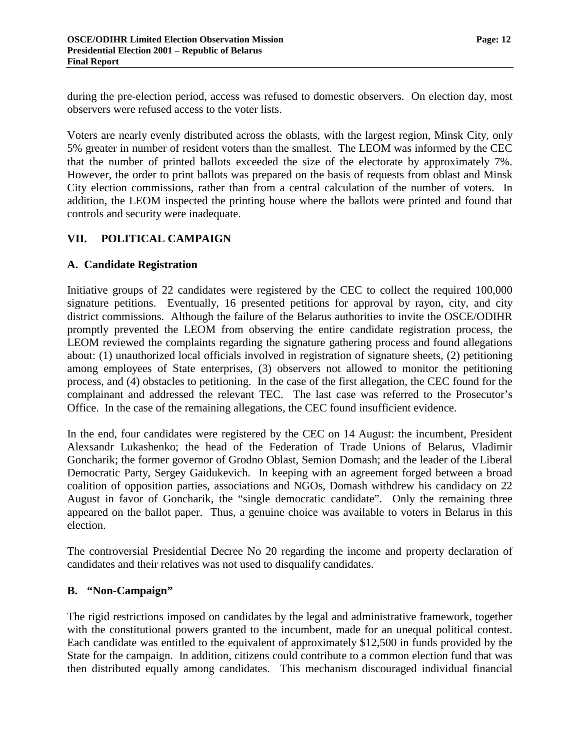<span id="page-13-0"></span>during the pre-election period, access was refused to domestic observers. On election day, most observers were refused access to the voter lists.

Voters are nearly evenly distributed across the oblasts, with the largest region, Minsk City, only 5% greater in number of resident voters than the smallest. The LEOM was informed by the CEC that the number of printed ballots exceeded the size of the electorate by approximately 7%. However, the order to print ballots was prepared on the basis of requests from oblast and Minsk City election commissions, rather than from a central calculation of the number of voters. In addition, the LEOM inspected the printing house where the ballots were printed and found that controls and security were inadequate.

### **VII. POLITICAL CAMPAIGN**

#### **A. Candidate Registration**

Initiative groups of 22 candidates were registered by the CEC to collect the required 100,000 signature petitions. Eventually, 16 presented petitions for approval by rayon, city, and city district commissions. Although the failure of the Belarus authorities to invite the OSCE/ODIHR promptly prevented the LEOM from observing the entire candidate registration process, the LEOM reviewed the complaints regarding the signature gathering process and found allegations about: (1) unauthorized local officials involved in registration of signature sheets, (2) petitioning among employees of State enterprises, (3) observers not allowed to monitor the petitioning process, and (4) obstacles to petitioning. In the case of the first allegation, the CEC found for the complainant and addressed the relevant TEC. The last case was referred to the Prosecutor's Office. In the case of the remaining allegations, the CEC found insufficient evidence.

In the end, four candidates were registered by the CEC on 14 August: the incumbent, President Alexsandr Lukashenko; the head of the Federation of Trade Unions of Belarus, Vladimir Goncharik; the former governor of Grodno Oblast, Semion Domash; and the leader of the Liberal Democratic Party, Sergey Gaidukevich. In keeping with an agreement forged between a broad coalition of opposition parties, associations and NGOs, Domash withdrew his candidacy on 22 August in favor of Goncharik, the "single democratic candidate". Only the remaining three appeared on the ballot paper. Thus, a genuine choice was available to voters in Belarus in this election.

The controversial Presidential Decree No 20 regarding the income and property declaration of candidates and their relatives was not used to disqualify candidates.

#### **B. "Non-Campaign"**

The rigid restrictions imposed on candidates by the legal and administrative framework, together with the constitutional powers granted to the incumbent, made for an unequal political contest. Each candidate was entitled to the equivalent of approximately \$12,500 in funds provided by the State for the campaign. In addition, citizens could contribute to a common election fund that was then distributed equally among candidates. This mechanism discouraged individual financial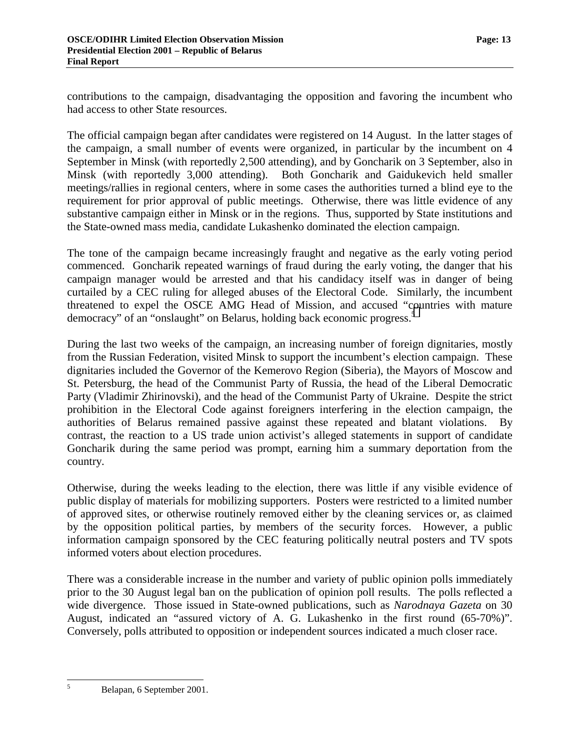contributions to the campaign, disadvantaging the opposition and favoring the incumbent who had access to other State resources.

The official campaign began after candidates were registered on 14 August. In the latter stages of the campaign, a small number of events were organized, in particular by the incumbent on 4 September in Minsk (with reportedly 2,500 attending), and by Goncharik on 3 September, also in Minsk (with reportedly 3,000 attending). Both Goncharik and Gaidukevich held smaller meetings/rallies in regional centers, where in some cases the authorities turned a blind eye to the requirement for prior approval of public meetings. Otherwise, there was little evidence of any substantive campaign either in Minsk or in the regions. Thus, supported by State institutions and the State-owned mass media, candidate Lukashenko dominated the election campaign.

The tone of the campaign became increasingly fraught and negative as the early voting period commenced. Goncharik repeated warnings of fraud during the early voting, the danger that his campaign manager would be arrested and that his candidacy itself was in danger of being curtailed by a CEC ruling for alleged abuses of the Electoral Code. Similarly, the incumbent threatened to expel the OSCE AMG Head of Mission, and accused "countries with mature democracy" of an "onslaught" on Belarus, holding back economic progress.<sup>5</sup>

During the last two weeks of the campaign, an increasing number of foreign dignitaries, mostly from the Russian Federation, visited Minsk to support the incumbent's election campaign. These dignitaries included the Governor of the Kemerovo Region (Siberia), the Mayors of Moscow and St. Petersburg, the head of the Communist Party of Russia, the head of the Liberal Democratic Party (Vladimir Zhirinovski), and the head of the Communist Party of Ukraine. Despite the strict prohibition in the Electoral Code against foreigners interfering in the election campaign, the authorities of Belarus remained passive against these repeated and blatant violations. By contrast, the reaction to a US trade union activist's alleged statements in support of candidate Goncharik during the same period was prompt, earning him a summary deportation from the country.

Otherwise, during the weeks leading to the election, there was little if any visible evidence of public display of materials for mobilizing supporters. Posters were restricted to a limited number of approved sites, or otherwise routinely removed either by the cleaning services or, as claimed by the opposition political parties, by members of the security forces. However, a public information campaign sponsored by the CEC featuring politically neutral posters and TV spots informed voters about election procedures.

There was a considerable increase in the number and variety of public opinion polls immediately prior to the 30 August legal ban on the publication of opinion poll results. The polls reflected a wide divergence. Those issued in State-owned publications, such as *Narodnaya Gazeta* on 30 August, indicated an "assured victory of A. G. Lukashenko in the first round (65-70%)". Conversely, polls attributed to opposition or independent sources indicated a much closer race.

Belapan, 6 September 2001.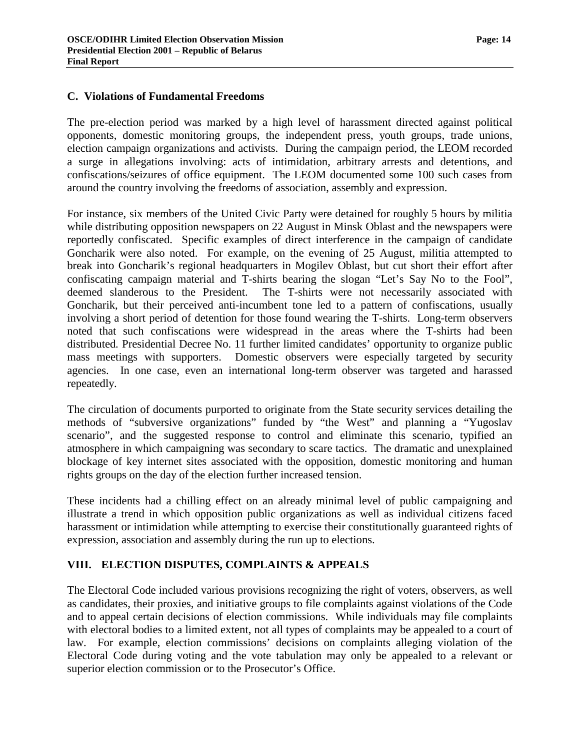#### <span id="page-15-0"></span>**C. Violations of Fundamental Freedoms**

The pre-election period was marked by a high level of harassment directed against political opponents, domestic monitoring groups, the independent press, youth groups, trade unions, election campaign organizations and activists. During the campaign period, the LEOM recorded a surge in allegations involving: acts of intimidation, arbitrary arrests and detentions, and confiscations/seizures of office equipment. The LEOM documented some 100 such cases from around the country involving the freedoms of association, assembly and expression.

For instance, six members of the United Civic Party were detained for roughly 5 hours by militia while distributing opposition newspapers on 22 August in Minsk Oblast and the newspapers were reportedly confiscated. Specific examples of direct interference in the campaign of candidate Goncharik were also noted. For example, on the evening of 25 August, militia attempted to break into Goncharik's regional headquarters in Mogilev Oblast, but cut short their effort after confiscating campaign material and T-shirts bearing the slogan "Let's Say No to the Fool", deemed slanderous to the President. The T-shirts were not necessarily associated with Goncharik, but their perceived anti-incumbent tone led to a pattern of confiscations, usually involving a short period of detention for those found wearing the T-shirts. Long-term observers noted that such confiscations were widespread in the areas where the T-shirts had been distributed*.* Presidential Decree No. 11 further limited candidates' opportunity to organize public mass meetings with supporters. Domestic observers were especially targeted by security agencies. In one case, even an international long-term observer was targeted and harassed repeatedly.

The circulation of documents purported to originate from the State security services detailing the methods of "subversive organizations" funded by "the West" and planning a "Yugoslav scenario", and the suggested response to control and eliminate this scenario, typified an atmosphere in which campaigning was secondary to scare tactics. The dramatic and unexplained blockage of key internet sites associated with the opposition, domestic monitoring and human rights groups on the day of the election further increased tension.

These incidents had a chilling effect on an already minimal level of public campaigning and illustrate a trend in which opposition public organizations as well as individual citizens faced harassment or intimidation while attempting to exercise their constitutionally guaranteed rights of expression, association and assembly during the run up to elections.

#### **VIII. ELECTION DISPUTES, COMPLAINTS & APPEALS**

The Electoral Code included various provisions recognizing the right of voters, observers, as well as candidates, their proxies, and initiative groups to file complaints against violations of the Code and to appeal certain decisions of election commissions. While individuals may file complaints with electoral bodies to a limited extent, not all types of complaints may be appealed to a court of law. For example, election commissions' decisions on complaints alleging violation of the Electoral Code during voting and the vote tabulation may only be appealed to a relevant or superior election commission or to the Prosecutor's Office.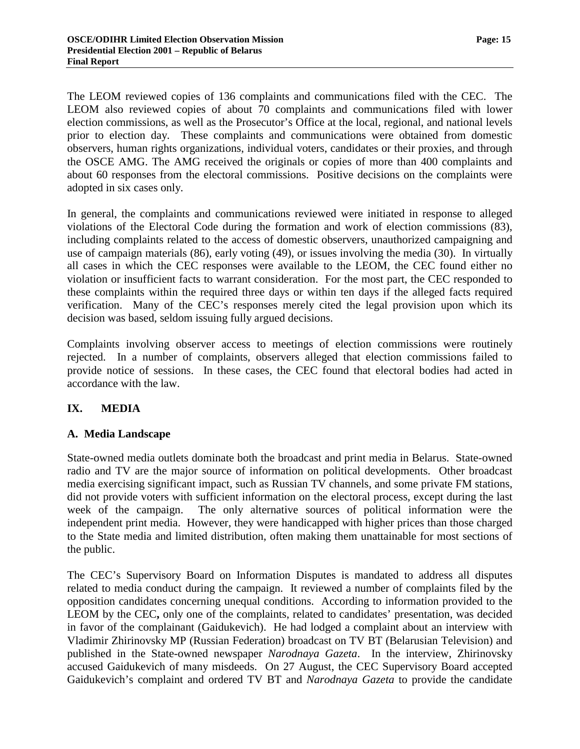<span id="page-16-0"></span>The LEOM reviewed copies of 136 complaints and communications filed with the CEC. The LEOM also reviewed copies of about 70 complaints and communications filed with lower election commissions, as well as the Prosecutor's Office at the local, regional, and national levels prior to election day. These complaints and communications were obtained from domestic observers, human rights organizations, individual voters, candidates or their proxies, and through the OSCE AMG. The AMG received the originals or copies of more than 400 complaints and about 60 responses from the electoral commissions. Positive decisions on the complaints were adopted in six cases only.

In general, the complaints and communications reviewed were initiated in response to alleged violations of the Electoral Code during the formation and work of election commissions (83), including complaints related to the access of domestic observers, unauthorized campaigning and use of campaign materials (86), early voting (49), or issues involving the media (30). In virtually all cases in which the CEC responses were available to the LEOM, the CEC found either no violation or insufficient facts to warrant consideration. For the most part, the CEC responded to these complaints within the required three days or within ten days if the alleged facts required verification. Many of the CEC's responses merely cited the legal provision upon which its decision was based, seldom issuing fully argued decisions.

Complaints involving observer access to meetings of election commissions were routinely rejected. In a number of complaints, observers alleged that election commissions failed to provide notice of sessions. In these cases, the CEC found that electoral bodies had acted in accordance with the law.

# **IX. MEDIA**

#### **A. Media Landscape**

State-owned media outlets dominate both the broadcast and print media in Belarus. State-owned radio and TV are the major source of information on political developments. Other broadcast media exercising significant impact, such as Russian TV channels, and some private FM stations, did not provide voters with sufficient information on the electoral process, except during the last week of the campaign. The only alternative sources of political information were the independent print media. However, they were handicapped with higher prices than those charged to the State media and limited distribution, often making them unattainable for most sections of the public.

The CEC's Supervisory Board on Information Disputes is mandated to address all disputes related to media conduct during the campaign. It reviewed a number of complaints filed by the opposition candidates concerning unequal conditions. According to information provided to the LEOM by the CEC**,** only one of the complaints, related to candidates' presentation, was decided in favor of the complainant (Gaidukevich). He had lodged a complaint about an interview with Vladimir Zhirinovsky MP (Russian Federation) broadcast on TV BT (Belarusian Television) and published in the State-owned newspaper *Narodnaya Gazeta*. In the interview, Zhirinovsky accused Gaidukevich of many misdeeds. On 27 August, the CEC Supervisory Board accepted Gaidukevich's complaint and ordered TV BT and *Narodnaya Gazeta* to provide the candidate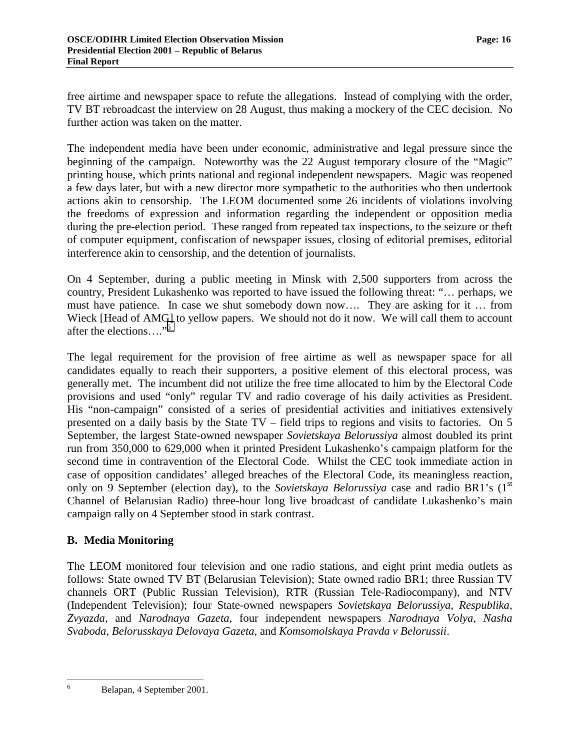<span id="page-17-0"></span>free airtime and newspaper space to refute the allegations. Instead of complying with the order, TV BT rebroadcast the interview on 28 August, thus making a mockery of the CEC decision. No further action was taken on the matter.

The independent media have been under economic, administrative and legal pressure since the beginning of the campaign. Noteworthy was the 22 August temporary closure of the "Magic" printing house, which prints national and regional independent newspapers. Magic was reopened a few days later, but with a new director more sympathetic to the authorities who then undertook actions akin to censorship. The LEOM documented some 26 incidents of violations involving the freedoms of expression and information regarding the independent or opposition media during the pre-election period. These ranged from repeated tax inspections, to the seizure or theft of computer equipment, confiscation of newspaper issues, closing of editorial premises, editorial interference akin to censorship, and the detention of journalists.

On 4 September, during a public meeting in Minsk with 2,500 supporters from across the country, President Lukashenko was reported to have issued the following threat: "… perhaps, we must have patience. In case we shut somebody down now…. They are asking for it … from Wieck [Head of AMG] to yellow papers. We should not do it now. We will call them to account after the elections…."6

The legal requirement for the provision of free airtime as well as newspaper space for all candidates equally to reach their supporters, a positive element of this electoral process, was generally met. The incumbent did not utilize the free time allocated to him by the Electoral Code provisions and used "only" regular TV and radio coverage of his daily activities as President. His "non-campaign" consisted of a series of presidential activities and initiatives extensively presented on a daily basis by the State TV – field trips to regions and visits to factories. On 5 September, the largest State-owned newspaper *Sovietskaya Belorussiya* almost doubled its print run from 350,000 to 629,000 when it printed President Lukashenko's campaign platform for the second time in contravention of the Electoral Code. Whilst the CEC took immediate action in case of opposition candidates' alleged breaches of the Electoral Code, its meaningless reaction, only on 9 September (election day), to the *Sovietskaya Belorussiya* case and radio BR1's (1<sup>st</sup>) Channel of Belarusian Radio) three-hour long live broadcast of candidate Lukashenko's main campaign rally on 4 September stood in stark contrast.

#### **B. Media Monitoring**

The LEOM monitored four television and one radio stations, and eight print media outlets as follows: State owned TV BT (Belarusian Television); State owned radio BR1; three Russian TV channels ORT (Public Russian Television), RTR (Russian Tele-Radiocompany), and NTV (Independent Television); four State-owned newspapers *Sovietskaya Belorussiya*, *Respublika*, *Zvyazda,* and *Narodnaya Gazeta*, four independent newspapers *Narodnaya Volya*, *Nasha Svaboda*, *Belorusskaya Delovaya Gazeta,* and *Komsomolskaya Pravda v Belorussii*.

6

Belapan, 4 September 2001.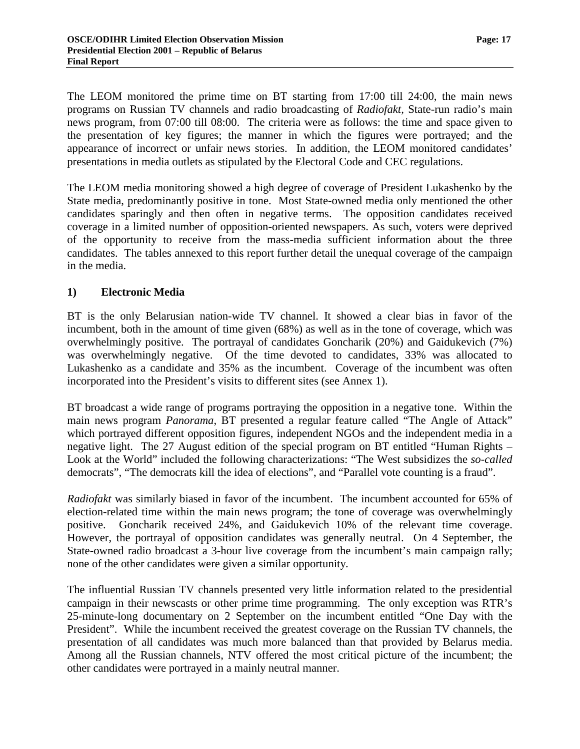The LEOM monitored the prime time on BT starting from 17:00 till 24:00, the main news programs on Russian TV channels and radio broadcasting of *Radiofakt,* State-run radio's main news program, from 07:00 till 08:00. The criteria were as follows: the time and space given to the presentation of key figures; the manner in which the figures were portrayed; and the appearance of incorrect or unfair news stories. In addition, the LEOM monitored candidates' presentations in media outlets as stipulated by the Electoral Code and CEC regulations.

The LEOM media monitoring showed a high degree of coverage of President Lukashenko by the State media, predominantly positive in tone. Most State-owned media only mentioned the other candidates sparingly and then often in negative terms. The opposition candidates received coverage in a limited number of opposition-oriented newspapers. As such, voters were deprived of the opportunity to receive from the mass-media sufficient information about the three candidates. The tables annexed to this report further detail the unequal coverage of the campaign in the media.

#### **1) Electronic Media**

BT is the only Belarusian nation-wide TV channel. It showed a clear bias in favor of the incumbent, both in the amount of time given (68%) as well as in the tone of coverage, which was overwhelmingly positive. The portrayal of candidates Goncharik (20%) and Gaidukevich (7%) was overwhelmingly negative. Of the time devoted to candidates, 33% was allocated to Lukashenko as a candidate and 35% as the incumbent. Coverage of the incumbent was often incorporated into the President's visits to different sites (see Annex 1).

BT broadcast a wide range of programs portraying the opposition in a negative tone. Within the main news program *Panorama*, BT presented a regular feature called "The Angle of Attack" which portrayed different opposition figures, independent NGOs and the independent media in a negative light. The 27 August edition of the special program on BT entitled "Human Rights – Look at the World" included the following characterizations: "The West subsidizes the *so-called* democrats", "The democrats kill the idea of elections", and "Parallel vote counting is a fraud".

*Radiofakt* was similarly biased in favor of the incumbent. The incumbent accounted for 65% of election-related time within the main news program; the tone of coverage was overwhelmingly positive. Goncharik received 24%, and Gaidukevich 10% of the relevant time coverage. However, the portrayal of opposition candidates was generally neutral. On 4 September, the State-owned radio broadcast a 3-hour live coverage from the incumbent's main campaign rally; none of the other candidates were given a similar opportunity.

The influential Russian TV channels presented very little information related to the presidential campaign in their newscasts or other prime time programming. The only exception was RTR's 25-minute-long documentary on 2 September on the incumbent entitled "One Day with the President". While the incumbent received the greatest coverage on the Russian TV channels, the presentation of all candidates was much more balanced than that provided by Belarus media. Among all the Russian channels, NTV offered the most critical picture of the incumbent; the other candidates were portrayed in a mainly neutral manner.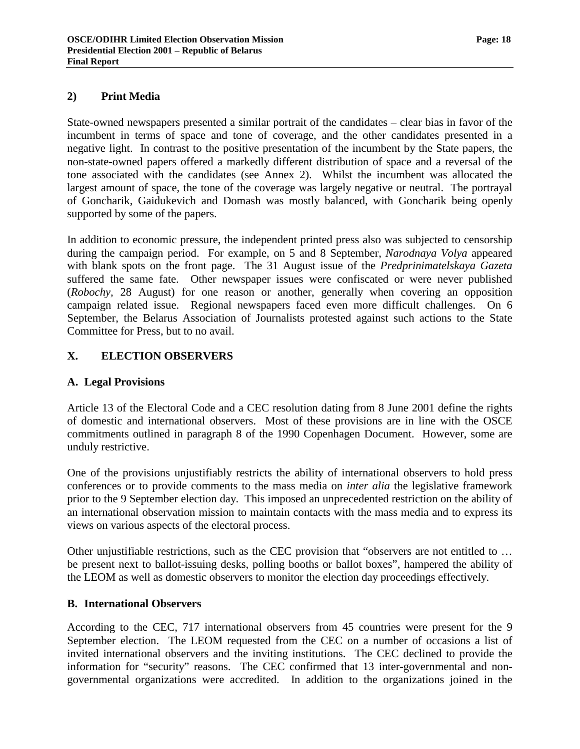#### <span id="page-19-0"></span>**2) Print Media**

State-owned newspapers presented a similar portrait of the candidates – clear bias in favor of the incumbent in terms of space and tone of coverage, and the other candidates presented in a negative light. In contrast to the positive presentation of the incumbent by the State papers, the non-state-owned papers offered a markedly different distribution of space and a reversal of the tone associated with the candidates (see Annex 2). Whilst the incumbent was allocated the largest amount of space, the tone of the coverage was largely negative or neutral. The portrayal of Goncharik, Gaidukevich and Domash was mostly balanced, with Goncharik being openly supported by some of the papers.

In addition to economic pressure, the independent printed press also was subjected to censorship during the campaign period. For example, on 5 and 8 September, *Narodnaya Volya* appeared with blank spots on the front page. The 31 August issue of the *Predprinimatelskaya Gazeta* suffered the same fate. Other newspaper issues were confiscated or were never published (*Robochy,* 28 August) for one reason or another, generally when covering an opposition campaign related issue. Regional newspapers faced even more difficult challenges. On 6 September, the Belarus Association of Journalists protested against such actions to the State Committee for Press, but to no avail.

#### **X. ELECTION OBSERVERS**

#### **A. Legal Provisions**

Article 13 of the Electoral Code and a CEC resolution dating from 8 June 2001 define the rights of domestic and international observers. Most of these provisions are in line with the OSCE commitments outlined in paragraph 8 of the 1990 Copenhagen Document. However, some are unduly restrictive.

One of the provisions unjustifiably restricts the ability of international observers to hold press conferences or to provide comments to the mass media on *inter alia* the legislative framework prior to the 9 September election day. This imposed an unprecedented restriction on the ability of an international observation mission to maintain contacts with the mass media and to express its views on various aspects of the electoral process.

Other unjustifiable restrictions, such as the CEC provision that "observers are not entitled to … be present next to ballot-issuing desks, polling booths or ballot boxes", hampered the ability of the LEOM as well as domestic observers to monitor the election day proceedings effectively.

#### **B. International Observers**

According to the CEC, 717 international observers from 45 countries were present for the 9 September election. The LEOM requested from the CEC on a number of occasions a list of invited international observers and the inviting institutions. The CEC declined to provide the information for "security" reasons. The CEC confirmed that 13 inter-governmental and nongovernmental organizations were accredited. In addition to the organizations joined in the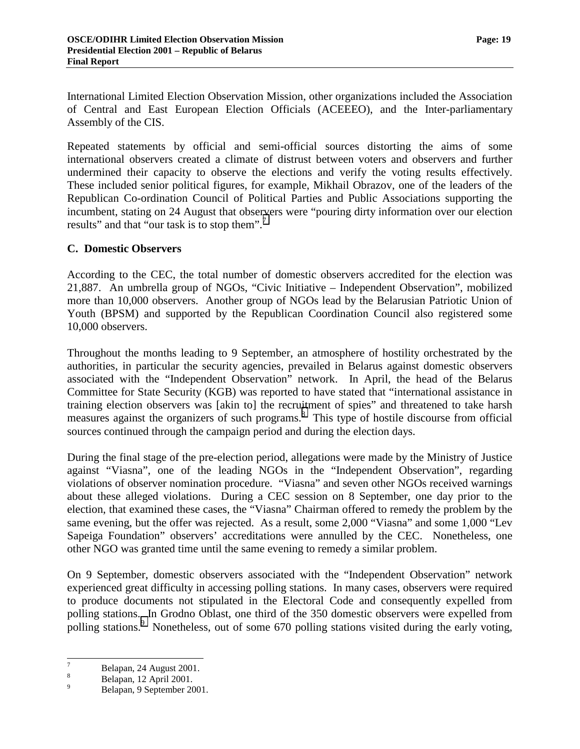<span id="page-20-0"></span>International Limited Election Observation Mission, other organizations included the Association of Central and East European Election Officials (ACEEEO), and the Inter-parliamentary Assembly of the CIS.

Repeated statements by official and semi-official sources distorting the aims of some international observers created a climate of distrust between voters and observers and further undermined their capacity to observe the elections and verify the voting results effectively. These included senior political figures, for example, Mikhail Obrazov, one of the leaders of the Republican Co-ordination Council of Political Parties and Public Associations supporting the incumbent, stating on 24 August that observers were "pouring dirty information over our election results" and that "our task is to stop them".<sup>7</sup>

#### **C. Domestic Observers**

According to the CEC, the total number of domestic observers accredited for the election was 21,887. An umbrella group of NGOs, "Civic Initiative – Independent Observation", mobilized more than 10,000 observers. Another group of NGOs lead by the Belarusian Patriotic Union of Youth (BPSM) and supported by the Republican Coordination Council also registered some 10,000 observers.

Throughout the months leading to 9 September, an atmosphere of hostility orchestrated by the authorities, in particular the security agencies, prevailed in Belarus against domestic observers associated with the "Independent Observation" network. In April, the head of the Belarus Committee for State Security (KGB) was reported to have stated that "international assistance in training election observers was [akin to] the recruitment of spies" and threatened to take harsh measures against the organizers of such programs.<sup>8</sup> This type of hostile discourse from official sources continued through the campaign period and during the election days.

During the final stage of the pre-election period, allegations were made by the Ministry of Justice against "Viasna", one of the leading NGOs in the "Independent Observation", regarding violations of observer nomination procedure. "Viasna" and seven other NGOs received warnings about these alleged violations. During a CEC session on 8 September, one day prior to the election, that examined these cases, the "Viasna" Chairman offered to remedy the problem by the same evening, but the offer was rejected. As a result, some 2,000 "Viasna" and some 1,000 "Lev Sapeiga Foundation" observers' accreditations were annulled by the CEC. Nonetheless, one other NGO was granted time until the same evening to remedy a similar problem.

On 9 September, domestic observers associated with the "Independent Observation" network experienced great difficulty in accessing polling stations. In many cases, observers were required to produce documents not stipulated in the Electoral Code and consequently expelled from polling stations. In Grodno Oblast, one third of the 350 domestic observers were expelled from polling stations.<sup>9</sup> Nonetheless, out of some 670 polling stations visited during the early voting,

<sup>-&</sup>lt;br>7  $B$ elapan, 24 August 2001.

Belapan, 12 April 2001.

<sup>9</sup> Belapan, 9 September 2001.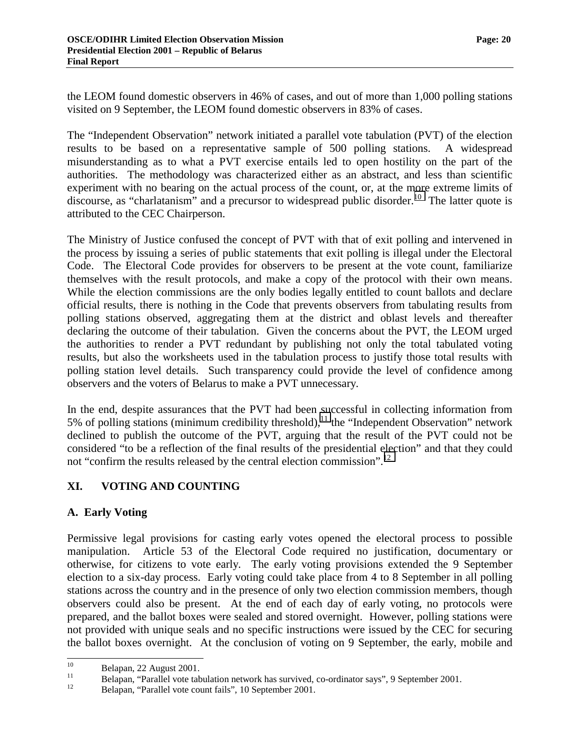<span id="page-21-0"></span>the LEOM found domestic observers in 46% of cases, and out of more than 1,000 polling stations visited on 9 September, the LEOM found domestic observers in 83% of cases.

The "Independent Observation" network initiated a parallel vote tabulation (PVT) of the election results to be based on a representative sample of 500 polling stations. A widespread misunderstanding as to what a PVT exercise entails led to open hostility on the part of the authorities. The methodology was characterized either as an abstract, and less than scientific experiment with no bearing on the actual process of the count, or, at the more extreme limits of discourse, as "charlatanism" and a precursor to widespread public disorder.<sup>10</sup> The latter quote is attributed to the CEC Chairperson.

The Ministry of Justice confused the concept of PVT with that of exit polling and intervened in the process by issuing a series of public statements that exit polling is illegal under the Electoral Code. The Electoral Code provides for observers to be present at the vote count, familiarize themselves with the result protocols, and make a copy of the protocol with their own means. While the election commissions are the only bodies legally entitled to count ballots and declare official results, there is nothing in the Code that prevents observers from tabulating results from polling stations observed, aggregating them at the district and oblast levels and thereafter declaring the outcome of their tabulation. Given the concerns about the PVT, the LEOM urged the authorities to render a PVT redundant by publishing not only the total tabulated voting results, but also the worksheets used in the tabulation process to justify those total results with polling station level details. Such transparency could provide the level of confidence among observers and the voters of Belarus to make a PVT unnecessary.

In the end, despite assurances that the PVT had been successful in collecting information from 5% of polling stations (minimum credibility threshold),<sup>11</sup> the "Independent Observation" network declined to publish the outcome of the PVT, arguing that the result of the PVT could not be considered "to be a reflection of the final results of the presidential election" and that they could not "confirm the results released by the central election commission".<sup>12</sup>

# **XI. VOTING AND COUNTING**

#### **A. Early Voting**

Permissive legal provisions for casting early votes opened the electoral process to possible manipulation. Article 53 of the Electoral Code required no justification, documentary or otherwise, for citizens to vote early. The early voting provisions extended the 9 September election to a six-day process. Early voting could take place from 4 to 8 September in all polling stations across the country and in the presence of only two election commission members, though observers could also be present. At the end of each day of early voting, no protocols were prepared, and the ballot boxes were sealed and stored overnight. However, polling stations were not provided with unique seals and no specific instructions were issued by the CEC for securing the ballot boxes overnight. At the conclusion of voting on 9 September, the early, mobile and

 $10\,$ 

<sup>&</sup>lt;sup>10</sup> Belapan, 22 August 2001.<br>
Belapan, "Parallel vote tabulation network has survived, co-ordinator says", 9 September 2001.

<sup>12</sup> Belapan, "Parallel vote count fails", 10 September 2001.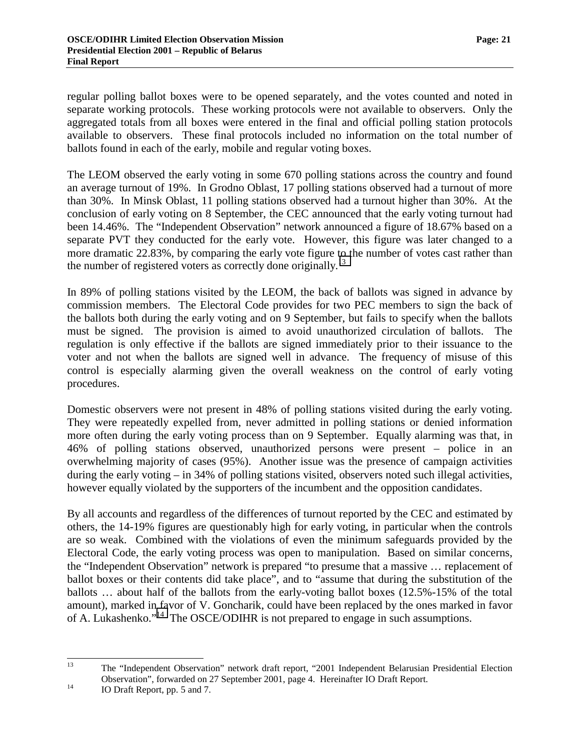regular polling ballot boxes were to be opened separately, and the votes counted and noted in separate working protocols. These working protocols were not available to observers. Only the aggregated totals from all boxes were entered in the final and official polling station protocols available to observers. These final protocols included no information on the total number of ballots found in each of the early, mobile and regular voting boxes.

The LEOM observed the early voting in some 670 polling stations across the country and found an average turnout of 19%. In Grodno Oblast, 17 polling stations observed had a turnout of more than 30%. In Minsk Oblast, 11 polling stations observed had a turnout higher than 30%. At the conclusion of early voting on 8 September, the CEC announced that the early voting turnout had been 14.46%. The "Independent Observation" network announced a figure of 18.67% based on a separate PVT they conducted for the early vote. However, this figure was later changed to a more dramatic 22.83%, by comparing the early vote figure to the number of votes cast rather than the number of registered voters as correctly done originally.<sup>13</sup>

In 89% of polling stations visited by the LEOM, the back of ballots was signed in advance by commission members. The Electoral Code provides for two PEC members to sign the back of the ballots both during the early voting and on 9 September, but fails to specify when the ballots must be signed. The provision is aimed to avoid unauthorized circulation of ballots. The regulation is only effective if the ballots are signed immediately prior to their issuance to the voter and not when the ballots are signed well in advance. The frequency of misuse of this control is especially alarming given the overall weakness on the control of early voting procedures.

Domestic observers were not present in 48% of polling stations visited during the early voting. They were repeatedly expelled from, never admitted in polling stations or denied information more often during the early voting process than on 9 September. Equally alarming was that, in 46% of polling stations observed, unauthorized persons were present – police in an overwhelming majority of cases (95%). Another issue was the presence of campaign activities during the early voting – in 34% of polling stations visited, observers noted such illegal activities, however equally violated by the supporters of the incumbent and the opposition candidates.

By all accounts and regardless of the differences of turnout reported by the CEC and estimated by others, the 14-19% figures are questionably high for early voting, in particular when the controls are so weak. Combined with the violations of even the minimum safeguards provided by the Electoral Code, the early voting process was open to manipulation. Based on similar concerns, the "Independent Observation" network is prepared "to presume that a massive … replacement of ballot boxes or their contents did take place", and to "assume that during the substitution of the ballots … about half of the ballots from the early-voting ballot boxes (12.5%-15% of the total amount), marked in favor of V. Goncharik, could have been replaced by the ones marked in favor of A. Lukashenko."14 The OSCE/ODIHR is not prepared to engage in such assumptions.

<sup>13</sup> 13 The "Independent Observation" network draft report, "2001 Independent Belarusian Presidential Election Observation", forwarded on 27 September 2001, page 4. Hereinafter IO Draft Report.<br>
10 Draft Report, pp. 5 and 7.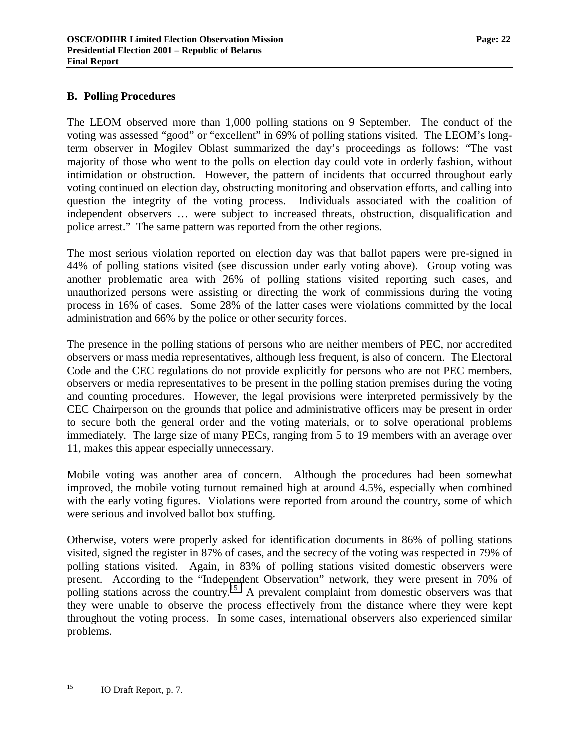#### <span id="page-23-0"></span>**B. Polling Procedures**

The LEOM observed more than 1,000 polling stations on 9 September. The conduct of the voting was assessed "good" or "excellent" in 69% of polling stations visited. The LEOM's longterm observer in Mogilev Oblast summarized the day's proceedings as follows: "The vast majority of those who went to the polls on election day could vote in orderly fashion, without intimidation or obstruction. However, the pattern of incidents that occurred throughout early voting continued on election day, obstructing monitoring and observation efforts, and calling into question the integrity of the voting process. Individuals associated with the coalition of independent observers … were subject to increased threats, obstruction, disqualification and police arrest." The same pattern was reported from the other regions.

The most serious violation reported on election day was that ballot papers were pre-signed in 44% of polling stations visited (see discussion under early voting above). Group voting was another problematic area with 26% of polling stations visited reporting such cases, and unauthorized persons were assisting or directing the work of commissions during the voting process in 16% of cases. Some 28% of the latter cases were violations committed by the local administration and 66% by the police or other security forces.

The presence in the polling stations of persons who are neither members of PEC, nor accredited observers or mass media representatives, although less frequent, is also of concern. The Electoral Code and the CEC regulations do not provide explicitly for persons who are not PEC members, observers or media representatives to be present in the polling station premises during the voting and counting procedures. However, the legal provisions were interpreted permissively by the CEC Chairperson on the grounds that police and administrative officers may be present in order to secure both the general order and the voting materials, or to solve operational problems immediately. The large size of many PECs, ranging from 5 to 19 members with an average over 11, makes this appear especially unnecessary.

Mobile voting was another area of concern. Although the procedures had been somewhat improved, the mobile voting turnout remained high at around 4.5%, especially when combined with the early voting figures. Violations were reported from around the country, some of which were serious and involved ballot box stuffing.

Otherwise, voters were properly asked for identification documents in 86% of polling stations visited, signed the register in 87% of cases, and the secrecy of the voting was respected in 79% of polling stations visited. Again, in 83% of polling stations visited domestic observers were present. According to the "Independent Observation" network, they were present in 70% of polling stations across the country.<sup>15</sup> A prevalent complaint from domestic observers was that they were unable to observe the process effectively from the distance where they were kept throughout the voting process. In some cases, international observers also experienced similar problems.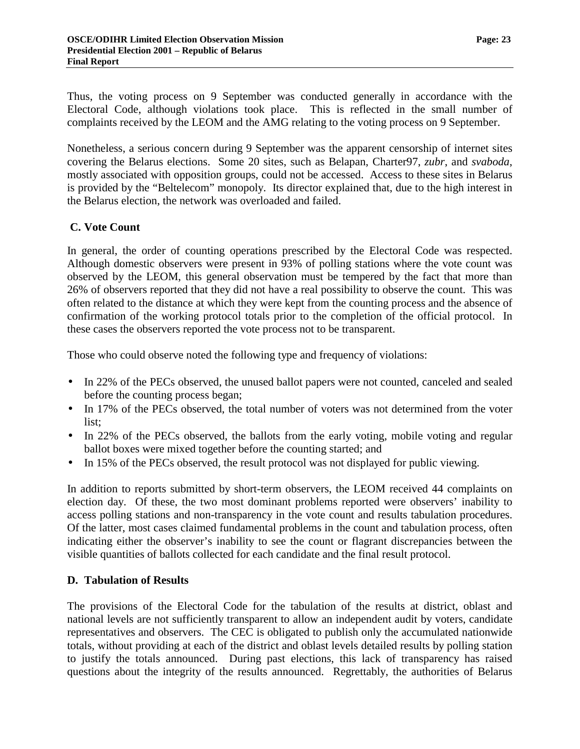<span id="page-24-0"></span>Thus, the voting process on 9 September was conducted generally in accordance with the Electoral Code, although violations took place. This is reflected in the small number of complaints received by the LEOM and the AMG relating to the voting process on 9 September.

Nonetheless, a serious concern during 9 September was the apparent censorship of internet sites covering the Belarus elections. Some 20 sites, such as Belapan, Charter97, *zubr*, and *svaboda*, mostly associated with opposition groups, could not be accessed. Access to these sites in Belarus is provided by the "Beltelecom" monopoly. Its director explained that, due to the high interest in the Belarus election, the network was overloaded and failed.

### **C. Vote Count**

In general, the order of counting operations prescribed by the Electoral Code was respected. Although domestic observers were present in 93% of polling stations where the vote count was observed by the LEOM, this general observation must be tempered by the fact that more than 26% of observers reported that they did not have a real possibility to observe the count. This was often related to the distance at which they were kept from the counting process and the absence of confirmation of the working protocol totals prior to the completion of the official protocol. In these cases the observers reported the vote process not to be transparent.

Those who could observe noted the following type and frequency of violations:

- In 22% of the PECs observed, the unused ballot papers were not counted, canceled and sealed before the counting process began;
- In 17% of the PECs observed, the total number of voters was not determined from the voter list;
- In 22% of the PECs observed, the ballots from the early voting, mobile voting and regular ballot boxes were mixed together before the counting started; and
- In 15% of the PECs observed, the result protocol was not displayed for public viewing.

In addition to reports submitted by short-term observers, the LEOM received 44 complaints on election day. Of these, the two most dominant problems reported were observers' inability to access polling stations and non-transparency in the vote count and results tabulation procedures. Of the latter, most cases claimed fundamental problems in the count and tabulation process, often indicating either the observer's inability to see the count or flagrant discrepancies between the visible quantities of ballots collected for each candidate and the final result protocol.

#### **D. Tabulation of Results**

The provisions of the Electoral Code for the tabulation of the results at district, oblast and national levels are not sufficiently transparent to allow an independent audit by voters, candidate representatives and observers. The CEC is obligated to publish only the accumulated nationwide totals, without providing at each of the district and oblast levels detailed results by polling station to justify the totals announced. During past elections, this lack of transparency has raised questions about the integrity of the results announced. Regrettably, the authorities of Belarus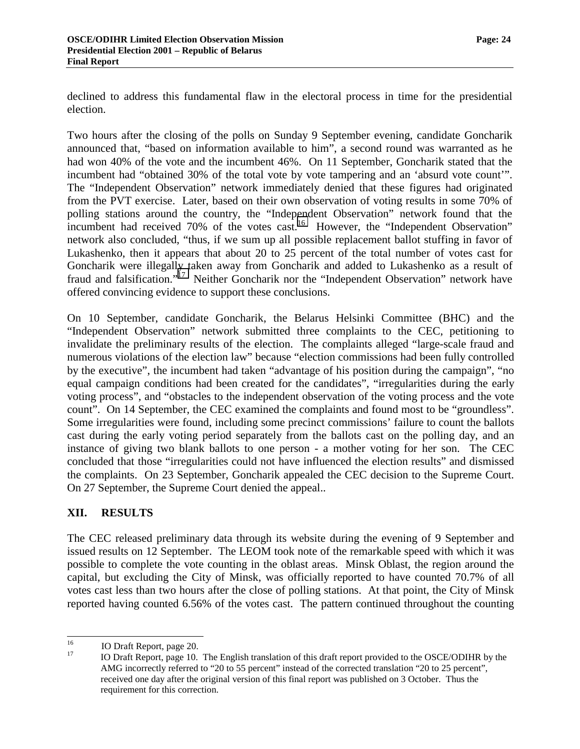<span id="page-25-0"></span>declined to address this fundamental flaw in the electoral process in time for the presidential election.

Two hours after the closing of the polls on Sunday 9 September evening, candidate Goncharik announced that, "based on information available to him", a second round was warranted as he had won 40% of the vote and the incumbent 46%. On 11 September, Goncharik stated that the incumbent had "obtained 30% of the total vote by vote tampering and an 'absurd vote count'". The "Independent Observation" network immediately denied that these figures had originated from the PVT exercise. Later, based on their own observation of voting results in some 70% of polling stations around the country, the "Independent Observation" network found that the incumbent had received 70% of the votes cast.<sup>16</sup> However, the "Independent Observation" network also concluded, "thus, if we sum up all possible replacement ballot stuffing in favor of Lukashenko, then it appears that about 20 to 25 percent of the total number of votes cast for Goncharik were illegally taken away from Goncharik and added to Lukashenko as a result of fraud and falsification."<sup>17</sup> Neither Goncharik nor the "Independent Observation" network have offered convincing evidence to support these conclusions.

On 10 September, candidate Goncharik, the Belarus Helsinki Committee (BHC) and the "Independent Observation" network submitted three complaints to the CEC, petitioning to invalidate the preliminary results of the election. The complaints alleged "large-scale fraud and numerous violations of the election law" because "election commissions had been fully controlled by the executive", the incumbent had taken "advantage of his position during the campaign", "no equal campaign conditions had been created for the candidates", "irregularities during the early voting process", and "obstacles to the independent observation of the voting process and the vote count". On 14 September, the CEC examined the complaints and found most to be "groundless". Some irregularities were found, including some precinct commissions' failure to count the ballots cast during the early voting period separately from the ballots cast on the polling day, and an instance of giving two blank ballots to one person - a mother voting for her son. The CEC concluded that those "irregularities could not have influenced the election results" and dismissed the complaints. On 23 September, Goncharik appealed the CEC decision to the Supreme Court. On 27 September, the Supreme Court denied the appeal..

# **XII. RESULTS**

The CEC released preliminary data through its website during the evening of 9 September and issued results on 12 September. The LEOM took note of the remarkable speed with which it was possible to complete the vote counting in the oblast areas. Minsk Oblast, the region around the capital, but excluding the City of Minsk, was officially reported to have counted 70.7% of all votes cast less than two hours after the close of polling stations. At that point, the City of Minsk reported having counted 6.56% of the votes cast. The pattern continued throughout the counting

<sup>16</sup>  $\frac{16}{17}$  IO Draft Report, page 20.

<sup>17</sup> IO Draft Report, page 10. The English translation of this draft report provided to the OSCE/ODIHR by the AMG incorrectly referred to "20 to 55 percent" instead of the corrected translation "20 to 25 percent", received one day after the original version of this final report was published on 3 October. Thus the requirement for this correction.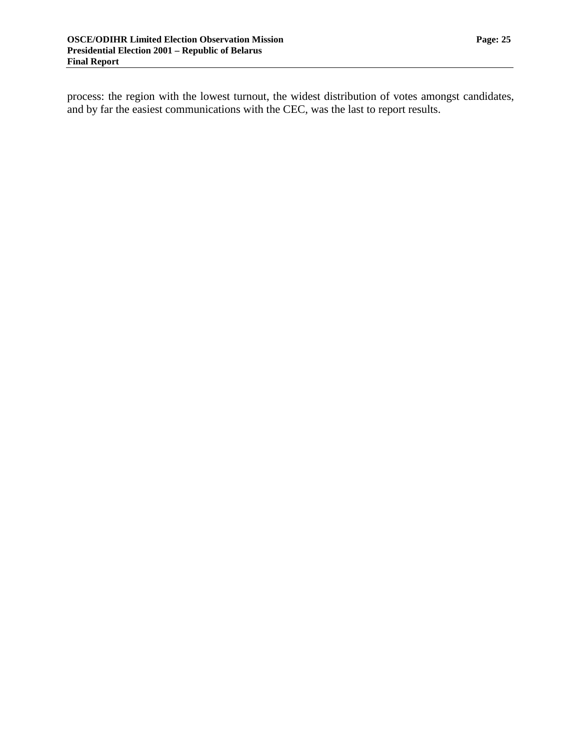process: the region with the lowest turnout, the widest distribution of votes amongst candidates, and by far the easiest communications with the CEC, was the last to report results.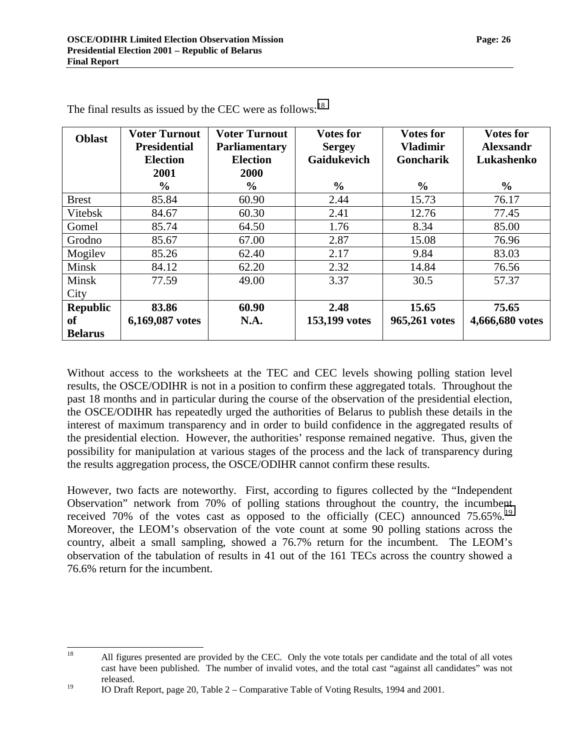| <b>Oblast</b>   | <b>Voter Turnout</b><br><b>Presidential</b><br><b>Election</b><br>2001<br>$\frac{6}{9}$ | <b>Voter Turnout</b><br><b>Parliamentary</b><br><b>Election</b><br>2000<br>$\%$ | <b>Votes for</b><br><b>Sergey</b><br><b>Gaidukevich</b><br>$\frac{6}{6}$ | <b>Votes for</b><br><b>Vladimir</b><br>Goncharik<br>$\frac{6}{9}$ | <b>Votes for</b><br><b>Alexsandr</b><br>Lukashenko<br>$\frac{6}{6}$ |
|-----------------|-----------------------------------------------------------------------------------------|---------------------------------------------------------------------------------|--------------------------------------------------------------------------|-------------------------------------------------------------------|---------------------------------------------------------------------|
| <b>Brest</b>    | 85.84                                                                                   | 60.90                                                                           | 2.44                                                                     | 15.73                                                             | 76.17                                                               |
| Vitebsk         | 84.67                                                                                   | 60.30                                                                           | 2.41                                                                     | 12.76                                                             | 77.45                                                               |
| Gomel           | 85.74                                                                                   | 64.50                                                                           | 1.76                                                                     | 8.34                                                              | 85.00                                                               |
| Grodno          | 85.67                                                                                   | 67.00                                                                           | 2.87                                                                     | 15.08                                                             | 76.96                                                               |
| Mogilev         | 85.26                                                                                   | 62.40                                                                           | 2.17                                                                     | 9.84                                                              | 83.03                                                               |
| Minsk           | 84.12                                                                                   | 62.20                                                                           | 2.32                                                                     | 14.84                                                             | 76.56                                                               |
| Minsk           | 77.59                                                                                   | 49.00                                                                           | 3.37                                                                     | 30.5                                                              | 57.37                                                               |
| City            |                                                                                         |                                                                                 |                                                                          |                                                                   |                                                                     |
| <b>Republic</b> | 83.86                                                                                   | 60.90                                                                           | 2.48                                                                     | 15.65                                                             | 75.65                                                               |
| <b>of</b>       | 6,169,087 votes                                                                         | N.A.                                                                            | 153,199 votes                                                            | 965,261 votes                                                     | 4,666,680 votes                                                     |
| <b>Belarus</b>  |                                                                                         |                                                                                 |                                                                          |                                                                   |                                                                     |

The final results as issued by the CEC were as follows:<sup>18</sup>

Without access to the worksheets at the TEC and CEC levels showing polling station level results, the OSCE/ODIHR is not in a position to confirm these aggregated totals. Throughout the past 18 months and in particular during the course of the observation of the presidential election, the OSCE/ODIHR has repeatedly urged the authorities of Belarus to publish these details in the interest of maximum transparency and in order to build confidence in the aggregated results of the presidential election. However, the authorities' response remained negative. Thus, given the possibility for manipulation at various stages of the process and the lack of transparency during the results aggregation process, the OSCE/ODIHR cannot confirm these results.

However, two facts are noteworthy. First, according to figures collected by the "Independent Observation" network from 70% of polling stations throughout the country, the incumbent received 70% of the votes cast as opposed to the officially (CEC) announced  $75.65\%$ <sup>19</sup> Moreover, the LEOM's observation of the vote count at some 90 polling stations across the country, albeit a small sampling, showed a 76.7% return for the incumbent. The LEOM's observation of the tabulation of results in 41 out of the 161 TECs across the country showed a 76.6% return for the incumbent.

<sup>18</sup> 18 All figures presented are provided by the CEC. Only the vote totals per candidate and the total of all votes cast have been published. The number of invalid votes, and the total cast "against all candidates" was not released.

<sup>&</sup>lt;sup>19</sup> IO Draft Report, page 20, Table  $2 -$  Comparative Table of Voting Results, 1994 and 2001.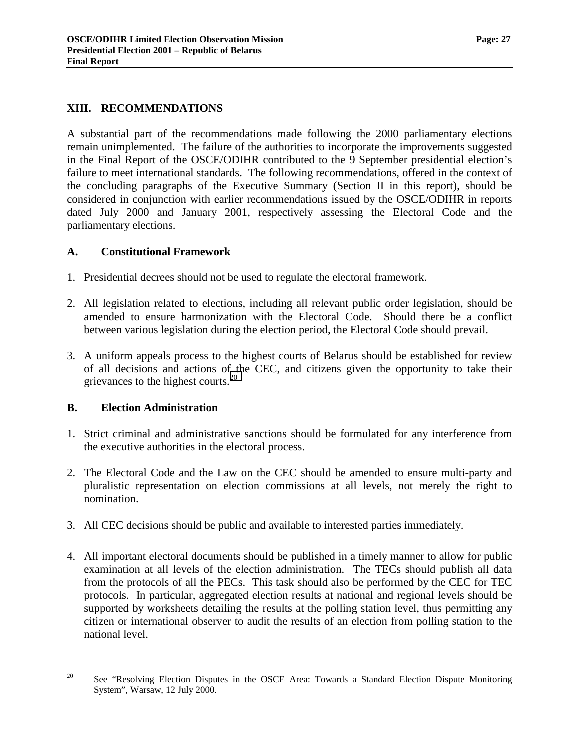#### <span id="page-28-0"></span>**XIII. RECOMMENDATIONS**

A substantial part of the recommendations made following the 2000 parliamentary elections remain unimplemented. The failure of the authorities to incorporate the improvements suggested in the Final Report of the OSCE/ODIHR contributed to the 9 September presidential election's failure to meet international standards. The following recommendations, offered in the context of the concluding paragraphs of the Executive Summary (Section II in this report), should be considered in conjunction with earlier recommendations issued by the OSCE/ODIHR in reports dated July 2000 and January 2001, respectively assessing the Electoral Code and the parliamentary elections.

#### **A. Constitutional Framework**

- 1. Presidential decrees should not be used to regulate the electoral framework.
- 2. All legislation related to elections, including all relevant public order legislation, should be amended to ensure harmonization with the Electoral Code. Should there be a conflict between various legislation during the election period, the Electoral Code should prevail.
- 3. A uniform appeals process to the highest courts of Belarus should be established for review of all decisions and actions of the CEC, and citizens given the opportunity to take their grievances to the highest courts.<sup>20</sup>

#### **B. Election Administration**

- 1. Strict criminal and administrative sanctions should be formulated for any interference from the executive authorities in the electoral process.
- 2. The Electoral Code and the Law on the CEC should be amended to ensure multi-party and pluralistic representation on election commissions at all levels, not merely the right to nomination.
- 3. All CEC decisions should be public and available to interested parties immediately.
- 4. All important electoral documents should be published in a timely manner to allow for public examination at all levels of the election administration. The TECs should publish all data from the protocols of all the PECs. This task should also be performed by the CEC for TEC protocols. In particular, aggregated election results at national and regional levels should be supported by worksheets detailing the results at the polling station level, thus permitting any citizen or international observer to audit the results of an election from polling station to the national level.

<sup>20</sup> 20 See "Resolving Election Disputes in the OSCE Area: Towards a Standard Election Dispute Monitoring System", Warsaw, 12 July 2000.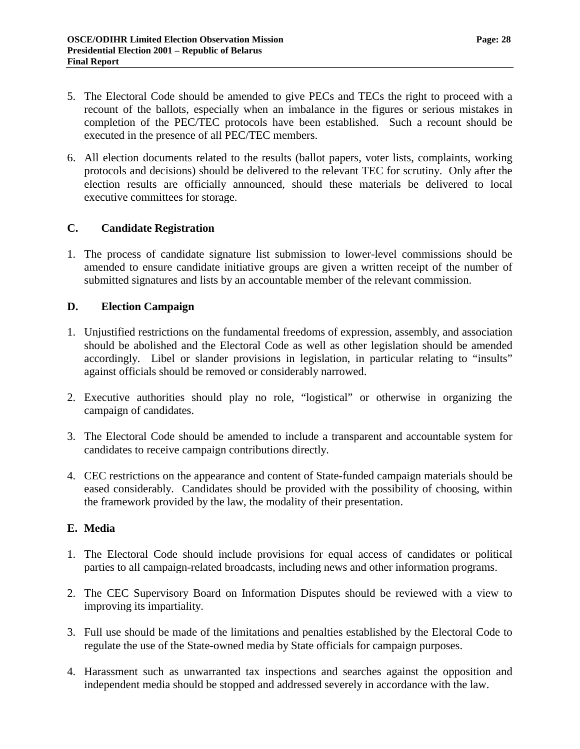- <span id="page-29-0"></span>5. The Electoral Code should be amended to give PECs and TECs the right to proceed with a recount of the ballots, especially when an imbalance in the figures or serious mistakes in completion of the PEC/TEC protocols have been established. Such a recount should be executed in the presence of all PEC/TEC members.
- 6. All election documents related to the results (ballot papers, voter lists, complaints, working protocols and decisions) should be delivered to the relevant TEC for scrutiny. Only after the election results are officially announced, should these materials be delivered to local executive committees for storage.

#### **C. Candidate Registration**

1. The process of candidate signature list submission to lower-level commissions should be amended to ensure candidate initiative groups are given a written receipt of the number of submitted signatures and lists by an accountable member of the relevant commission.

### **D. Election Campaign**

- 1. Unjustified restrictions on the fundamental freedoms of expression, assembly, and association should be abolished and the Electoral Code as well as other legislation should be amended accordingly. Libel or slander provisions in legislation, in particular relating to "insults" against officials should be removed or considerably narrowed.
- 2. Executive authorities should play no role, "logistical" or otherwise in organizing the campaign of candidates.
- 3. The Electoral Code should be amended to include a transparent and accountable system for candidates to receive campaign contributions directly.
- 4. CEC restrictions on the appearance and content of State-funded campaign materials should be eased considerably. Candidates should be provided with the possibility of choosing, within the framework provided by the law, the modality of their presentation.

#### **E. Media**

- 1. The Electoral Code should include provisions for equal access of candidates or political parties to all campaign-related broadcasts, including news and other information programs.
- 2. The CEC Supervisory Board on Information Disputes should be reviewed with a view to improving its impartiality.
- 3. Full use should be made of the limitations and penalties established by the Electoral Code to regulate the use of the State-owned media by State officials for campaign purposes.
- 4. Harassment such as unwarranted tax inspections and searches against the opposition and independent media should be stopped and addressed severely in accordance with the law.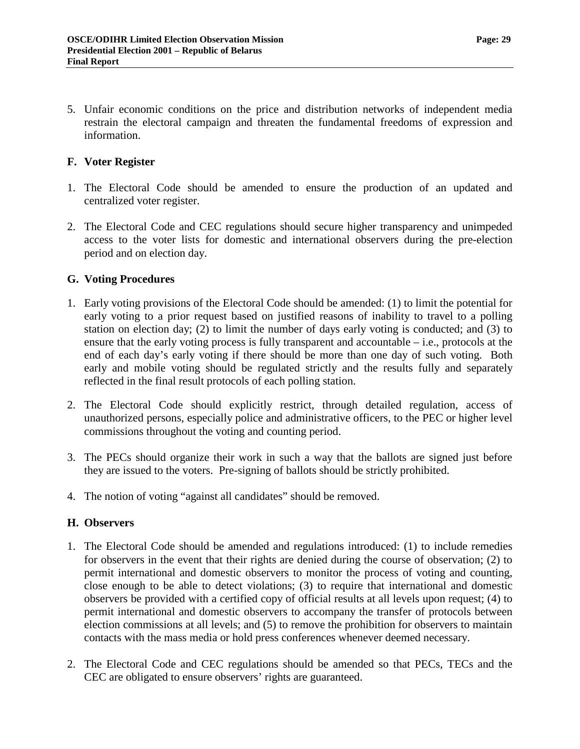<span id="page-30-0"></span>5. Unfair economic conditions on the price and distribution networks of independent media restrain the electoral campaign and threaten the fundamental freedoms of expression and information.

#### **F. Voter Register**

- 1. The Electoral Code should be amended to ensure the production of an updated and centralized voter register.
- 2. The Electoral Code and CEC regulations should secure higher transparency and unimpeded access to the voter lists for domestic and international observers during the pre-election period and on election day.

### **G. Voting Procedures**

- 1. Early voting provisions of the Electoral Code should be amended: (1) to limit the potential for early voting to a prior request based on justified reasons of inability to travel to a polling station on election day; (2) to limit the number of days early voting is conducted; and (3) to ensure that the early voting process is fully transparent and accountable – i.e., protocols at the end of each day's early voting if there should be more than one day of such voting. Both early and mobile voting should be regulated strictly and the results fully and separately reflected in the final result protocols of each polling station.
- 2. The Electoral Code should explicitly restrict, through detailed regulation, access of unauthorized persons, especially police and administrative officers, to the PEC or higher level commissions throughout the voting and counting period.
- 3. The PECs should organize their work in such a way that the ballots are signed just before they are issued to the voters. Pre-signing of ballots should be strictly prohibited.
- 4. The notion of voting "against all candidates" should be removed.

#### **H. Observers**

- 1. The Electoral Code should be amended and regulations introduced: (1) to include remedies for observers in the event that their rights are denied during the course of observation; (2) to permit international and domestic observers to monitor the process of voting and counting, close enough to be able to detect violations; (3) to require that international and domestic observers be provided with a certified copy of official results at all levels upon request; (4) to permit international and domestic observers to accompany the transfer of protocols between election commissions at all levels; and (5) to remove the prohibition for observers to maintain contacts with the mass media or hold press conferences whenever deemed necessary.
- 2. The Electoral Code and CEC regulations should be amended so that PECs, TECs and the CEC are obligated to ensure observers' rights are guaranteed.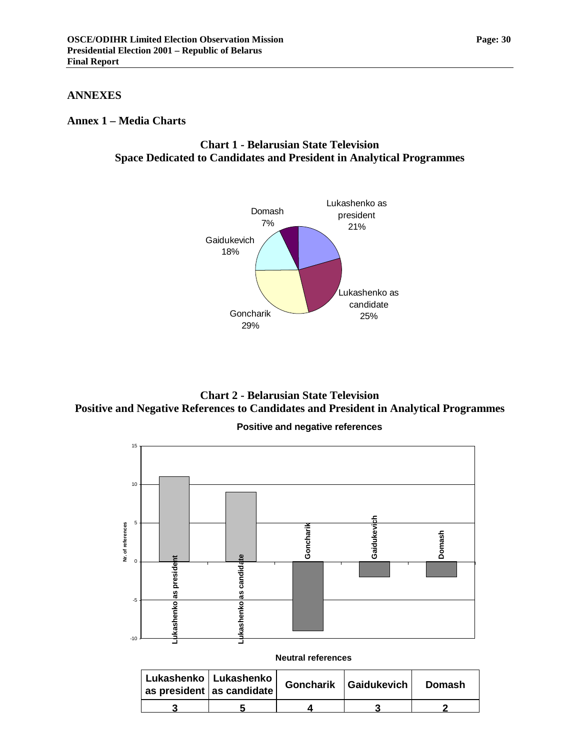#### <span id="page-31-0"></span>**ANNEXES**

#### **Annex 1 – Media Charts**

### **Chart 1 - Belarusian State Television Space Dedicated to Candidates and President in Analytical Programmes**



**Chart 2 - Belarusian State Television Positive and Negative References to Candidates and President in Analytical Programmes** 



| Lukashenko   Lukashenko<br>$ $ as president $ $ as candidate $ $ |  | Goncharik   Gaidukevich | Domash |  |
|------------------------------------------------------------------|--|-------------------------|--------|--|
|                                                                  |  |                         |        |  |